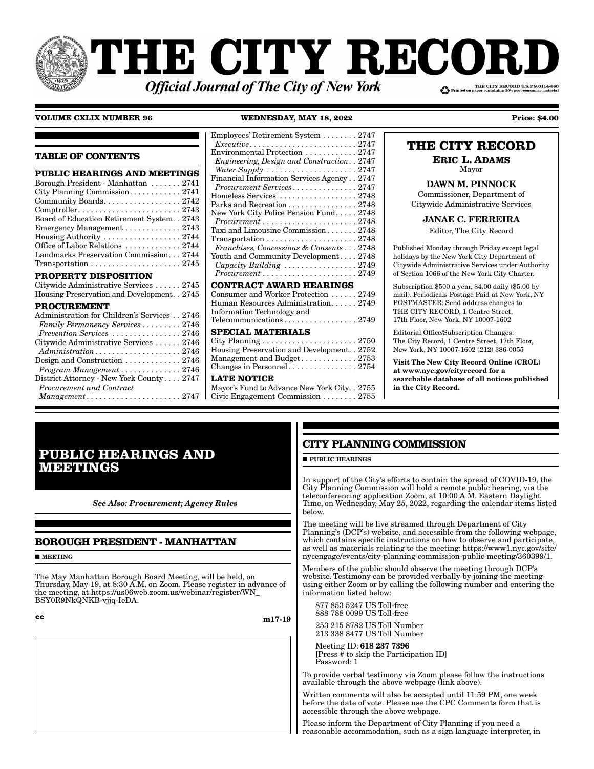# THE CITY RECORI THE CITY RECORD U.S.P.S.0114-660 **Official Journal of The City of New York**

#### **VOLUME CXLIX NUMBER 96**

WEDNESDAY, MAY 18, 2022

**TABLE OF CONTENTS** PUBLIC HEARINGS AND MEETINGS Borough President - Manhattan ....... 2741 City Planning Commission. . . . . . . . . . . . 2741 Community Boards. . . . . . . . . . . . . . . . . . 2742 Board of Education Retirement System. . 2743 Emergency Management . . . . . . . . . . . . . 2743 Housing Authority .................. 2744 Office of Labor Relations ............ 2744 Landmarks Preservation Commission... 2744 PROPERTY DISPOSITION Citywide Administrative Services ...... 2745 Housing Preservation and Development. . 2745 **PROCUREMENT** Administration for Children's Services . . 2746 Family Permanency Services . . . . . . . . . 2746 Prevention Services ................ 2746 Citywide Administrative Services ...... 2746 Administration....................2746 Design and Construction ............ 2746 Program Management ............. 2746 District Attorney - New York County.... 2747 Procurement and Contract Management......................2747

#### Employees' Retirement System . . . . . . . . 2747  $$ Environmental Protection Engineering, Design and Construction. . 2747 Water Supply ..................... 2747 Financial Information Services Agency...2747 Procurement Services............... 2747 Homeless Services .................. 2748 Parks and Recreation . . . . . . . . . . . . . . . 2748 New York City Police Pension Fund..... 2748  $Procurrent \ldots \ldots \ldots \ldots \ldots \ldots \ldots 2748$ Taxi and Limousine Commission....... 2748 Transportation ..................... 2748 Franchises, Concessions & Consents . . . 2748 Youth and Community Development.... 2748 Capacity Building ................. 2749  $Procurrent \ldots \ldots \ldots \ldots \ldots \ldots \ldots 2749$ **CONTRACT AWARD HEARINGS** Consumer and Worker Protection ...... 2749 Human Resources Administration...... 2749 Information Technology and Telecommunications................. 2749 **SPECIAL MATERIALS** City Planning ...................... 2750 Housing Preservation and Development. . 2752 Management and Budget............ 2753 **LATE NOTICE**

Mayor's Fund to Advance New York City. . 2755 Civic Engagement Commission . . . . . . . . 2755

### THE CITY RECORD

**Price: \$4.00** 

**ERIC L. ADAMS** 

Mayor **DAWN M. PINNOCK** 

Commissioner, Department of Citywide Administrative Services

**JANAE C. FERREIRA** 

Editor, The City Record

Published Monday through Friday except legal holidays by the New York City Department of Citywide Administrative Services under Authority of Section 1066 of the New York City Charter.

Subscription \$500 a year, \$4.00 daily (\$5.00 by mail). Periodicals Postage Paid at New York, NY POSTMASTER: Send address changes to THE CITY RECORD, 1 Centre Street, 17th Floor, New York, NY 10007-1602

Editorial Office/Subscription Changes: The City Record, 1 Centre Street, 17th Floor, New York, NY 10007-1602 (212) 386-0055

Visit The New City Record Online (CROL) at www.nyc.gov/cityrecord for a searchable database of all notices published in the City Record.

### **PUBLIC HEARINGS AND MEETINGS**

**See Also: Procurement; Agency Rules** 

### **BOROUGH PRESIDENT - MANHATTAN**

 $\blacksquare$  MEETING

The May Manhattan Borough Board Meeting, will be held, on Thursday, May 19, at 8:30 A.M. on Zoom. Please register in advance of the meeting, at https://us06web.zoom.us/webinar/register/WN BSY0R9NKQNKB-vijq-IeDA.

 $cc$ 

m17-19

### **CITY PLANNING COMMISSION**

 $\blacksquare$ PUBLIC HEARINGS

In support of the City's efforts to contain the spread of COVID-19, the City Planning Commission will hold a remote public hearing, via the<br>teleconferencing application Zoom, at 10:00 A.M. Eastern Daylight Time, on Wednesday, May 25, 2022, regarding the calendar items listed helow

The meeting will be live streamed through Department of City<br>Planning's (DCP's) website, and accessible from the following webpage, which contains specific instructions on how to observe and participate, as well as materials relating to the meeting: https://www1.nyc.gov/site/ nycengage/events/city-planning-commission-public-meeting/360399/1.

Members of the public should observe the meeting through DCP's website. Testimony can be provided verbally by joining the meeting using either Zoom or by calling the following number and entering the information listed below:

877 853 5247 US Toll-free 888 788 0099 US Toll-free

253 215 8782 US Toll Number 213 338 8477 US Toll Number

Meeting ID: 618 237 7396 [Press  $\frac{3}{2}$  to skip the Participation ID] Password: 1

To provide verbal testimony via Zoom please follow the instructions available through the above webpage (link above).

Written comments will also be accepted until 11:59 PM, one week before the date of vote. Please use the CPC Comments form that is accessible through the above webpage.

Please inform the Department of City Planning if you need a reasonable accommodation, such as a sign language interpreter, in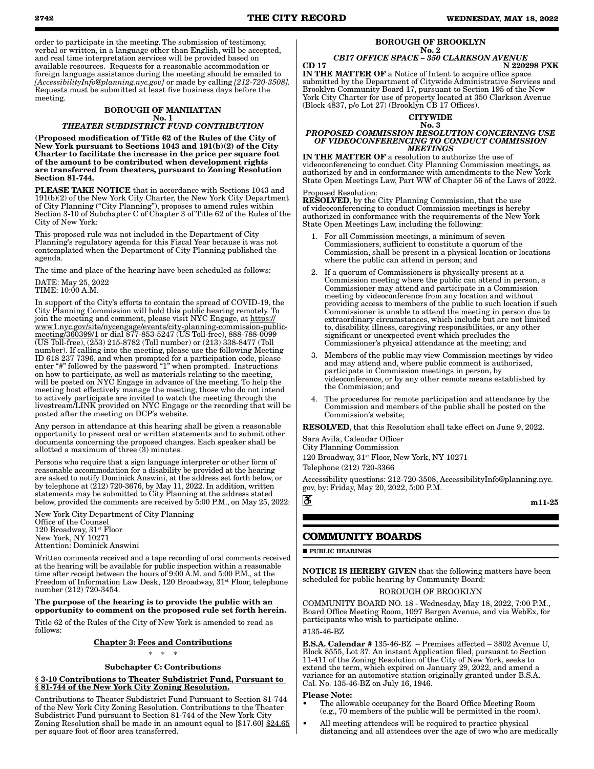order to participate in the meeting. The submission of testimony, verbal or written, in a language other than English, will be accepted, and real time interpretation services will be provided based on available resources. Requests for a reasonable accommodation or foreign language assistance during the meeting should be emailed to *[AccessibilityInfo@planning.nyc.gov]* or made by calling *[212-720-3508].* Requests must be submitted at least five business days before the meeting.

#### BOROUGH OF MANHATTAN No. 1 *THEATER SUBDISTRICT FUND CONTRIBUTION*

(Proposed modification of Title 62 of the Rules of the City of New York pursuant to Sections 1043 and 191(b)(2) of the City Charter to facilitate the increase in the price per square foot of the amount to be contributed when development rights are transferred from theaters, pursuant to Zoning Resolution Section 81-744.

PLEASE TAKE NOTICE that in accordance with Sections 1043 and 191(b)(2) of the New York City Charter, the New York City Department of City Planning ("City Planning"), proposes to amend rules within Section 3-10 of Subchapter C of Chapter 3 of Title 62 of the Rules of the City of New York:

This proposed rule was not included in the Department of City Planning's regulatory agenda for this Fiscal Year because it was not contemplated when the Department of City Planning published the agenda.

The time and place of the hearing have been scheduled as follows:

### DATE: May 25, 2022

TIME: 10:00 A.M.

In support of the City's efforts to contain the spread of COVID-19, the City Planning Commission will hold this public hearing remotely. To join the meeting and comment, please visit NYC Engage, at https:// www1.nyc.gov/site/nycengage/events/city-planning-commission-publicmeeting/360399/1 or dial 877-853-5247 (US Toll-free), 888-788-0099 (US Toll-free), (253) 215-8782 (Toll number) or (213) 338-8477 (Toll number). If calling into the meeting, please use the following Meeting ID 618 237 7396, and when prompted for a participation code, please enter "#" followed by the password "1" when prompted. Instructions on how to participate, as well as materials relating to the meeting, will be posted on NYC Engage in advance of the meeting. To help the meeting host effectively manage the meeting, those who do not intend to actively participate are invited to watch the meeting through the livestream/LINK provided on NYC Engage or the recording that will be posted after the meeting on DCP's website.

Any person in attendance at this hearing shall be given a reasonable opportunity to present oral or written statements and to submit other documents concerning the proposed changes. Each speaker shall be allotted a maximum of three (3) minutes.

Persons who require that a sign language interpreter or other form of reasonable accommodation for a disability be provided at the hearing are asked to notify Dominick Answini, at the address set forth below, or by telephone at (212) 720-3676, by May 11, 2022. In addition, written statements may be submitted to City Planning at the address stated below, provided the comments are received by 5:00 P.M., on May 25, 2022:

New York City Department of City Planning Office of the Counsel 120 Broadway, 31<sup>st</sup> Floor New York, NY 10271 Attention: Dominick Answini

Written comments received and a tape recording of oral comments received at the hearing will be available for public inspection within a reasonable time after receipt between the hours of 9:00 A.M. and 5:00 P.M., at the Freedom of Information Law Desk, 120 Broadway, 31<sup>st</sup> Floor, telephone number (212) 720-3454.

#### The purpose of the hearing is to provide the public with an opportunity to comment on the proposed rule set forth herein.

Title 62 of the Rules of the City of New York is amended to read as follows:

### Chapter 3: Fees and Contributions

\* \* \*

#### Subchapter C: Contributions

#### § 3-10 Contributions to Theater Subdistrict Fund, Pursuant to § 81-744 of the New York City Zoning Resolution.

Contributions to Theater Subdistrict Fund Pursuant to Section 81-744 of the New York City Zoning Resolution. Contributions to the Theater Subdistrict Fund pursuant to Section 81-744 of the New York City Zoning Resolution shall be made in an amount equal to [\$17.60] \$24.65 per square foot of floor area transferred.

### BOROUGH OF BROOKLYN

#### No. 2 *CB17 OFFICE SPACE – 350 CLARKSON AVENUE* CD 17 N 220298 PXK

IN THE MATTER OF a Notice of Intent to acquire office space submitted by the Department of Citywide Administrative Services and Brooklyn Community Board 17, pursuant to Section 195 of the New York City Charter for use of property located at 350 Clarkson Avenue  $(Block 4837, p/o Lot 27) (Brocklyn \n\tilde{CB} 17 \nOffices).$ 



#### *PROPOSED COMMISSION RESOLUTION CONCERNING USE OF VIDEOCONFERENCING TO CONDUCT COMMISSION MEETINGS*

IN THE MATTER OF a resolution to authorize the use of videoconferencing to conduct City Planning Commission meetings, as authorized by and in conformance with amendments to the New York State Open Meetings Law, Part WW of Chapter 56 of the Laws of 2022.

#### Proposed Resolution:

RESOLVED, by the City Planning Commission, that the use of videoconferencing to conduct Commission meetings is hereby authorized in conformance with the requirements of the New York State Open Meetings Law, including the following:

- 1. For all Commission meetings, a minimum of seven Commissioners, sufficient to constitute a quorum of the Commission, shall be present in a physical location or locations where the public can attend in person; and
- 2. If a quorum of Commissioners is physically present at a Commission meeting where the public can attend in person, a Commissioner may attend and participate in a Commission meeting by videoconference from any location and without providing access to members of the public to such location if such Commissioner is unable to attend the meeting in person due to extraordinary circumstances, which include but are not limited to, disability, illness, caregiving responsibilities, or any other significant or unexpected event which precludes the Commissioner's physical attendance at the meeting; and
- 3. Members of the public may view Commission meetings by video and may attend and, where public comment is authorized, participate in Commission meetings in person, by videoconference, or by any other remote means established by the Commission; and
- The procedures for remote participation and attendance by the Commission and members of the public shall be posted on the Commission's website;

RESOLVED, that this Resolution shall take effect on June 9, 2022.

Sara Avila, Calendar Officer City Planning Commission

120 Broadway,  $31^{st}$  Floor, New York, NY 10271

Telephone (212) 720-3366

Accessibility questions: 212-720-3508, AccessibilityInfo@planning.nyc. gov, by: Friday, May 20, 2022, 5:00 P.M.

m11-25

### **COMMUNITY BOARDS**

**PUBLIC HEARINGS** 

õ

NOTICE IS HEREBY GIVEN that the following matters have been scheduled for public hearing by Community Board:

#### BOROUGH OF BROOKLYN

COMMUNITY BOARD NO. 18 - Wednesday, May 18, 2022, 7:00 P.M., Board Office Meeting Room, 1097 Bergen Avenue, and via WebEx, for participants who wish to participate online.

#### #135-46-BZ

B.S.A. Calendar # 135-46-BZ – Premises affected – 3802 Avenue U, Block 8555, Lot 37. An instant Application filed, pursuant to Section 11-411 of the Zoning Resolution of the City of New York, seeks to extend the term, which expired on January 29, 2022, and amend a variance for an automotive station originally granted under B.S.A. Cal. No. 135-46-BZ on July 16, 1946.

#### Please Note:

- The allowable occupancy for the Board Office Meeting Room (e.g., 70 members of the public will be permitted in the room).
- All meeting attendees will be required to practice physical distancing and all attendees over the age of two who are medically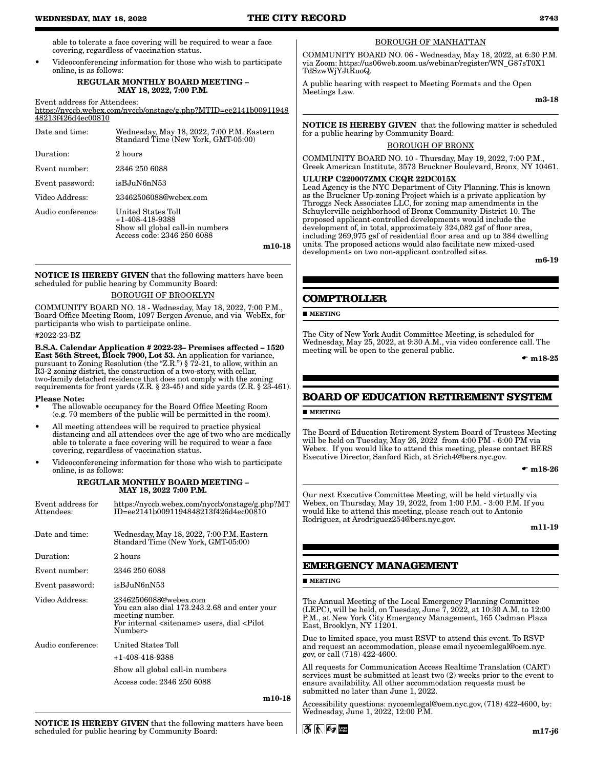able to tolerate a face covering will be required to wear a face covering, regardless of vaccination status.

• Videoconferencing information for those who wish to participate online, is as follows:

#### REGULAR MONTHLY BOARD MEETING – MAY 18, 2022, 7:00 P.M.

Event address for Attendees:

https://nyccb.webex.com/nyccb/onstage/g.php?MTID=ee2141b00911948 48213f426d4ec00810

| Date and time:    | Wednesday, May 18, 2022, 7:00 P.M. Eastern<br>Standard Time (New York, GMT-05:00)                        |
|-------------------|----------------------------------------------------------------------------------------------------------|
| Duration:         | 2 hours                                                                                                  |
| Event number:     | 2346 250 6088                                                                                            |
| Event password:   | isBJuN6nN53                                                                                              |
| Video Address:    | 23462506088@webex.com                                                                                    |
| Audio conference: | United States Toll<br>$+1-408-418-9388$<br>Show all global call-in numbers<br>Access code: 2346 250 6088 |
|                   | m10-18                                                                                                   |

NOTICE IS HEREBY GIVEN that the following matters have been scheduled for public hearing by Community Board:

#### BOROUGH OF BROOKLYN

COMMUNITY BOARD NO. 18 - Wednesday, May 18, 2022, 7:00 P.M., Board Office Meeting Room, 1097 Bergen Avenue, and via WebEx, for participants who wish to participate online.

#### #2022-23-BZ

B.S.A. Calendar Application # 2022-23– Premises affected – 1520 East 56th Street, Block 7900, Lot 53. An application for variance, pursuant to Zoning Resolution (the "Z.R.")  $\frac{1}{2}$  72-21, to allow, within an R3-2 zoning district, the construction of a two-story, with cellar, two-family detached residence that does not comply with the zoning requirements for front yards (Z.R. § 23-45) and side yards (Z.R. § 23-461).

#### Please Note:

- The allowable occupancy for the Board Office Meeting Room (e.g. 70 members of the public will be permitted in the room).
- All meeting attendees will be required to practice physical distancing and all attendees over the age of two who are medically able to tolerate a face covering will be required to wear a face covering, regardless of vaccination status.
- Videoconferencing information for those who wish to participate online, is as follows:

#### REGULAR MONTHLY BOARD MEETING – MAY 18, 2022 7:00 P.M.

| Event address for<br>Attendees: | https://nyccb.webex.com/nyccb/onstage/g.php?MT<br>ID=ee2141b0091194848213f426d4ec00810                                                                                      |
|---------------------------------|-----------------------------------------------------------------------------------------------------------------------------------------------------------------------------|
| Date and time:                  | Wednesday, May 18, 2022, 7:00 P.M. Eastern<br>Standard Time (New York, GMT-05:00)                                                                                           |
| Duration:                       | 2 hours                                                                                                                                                                     |
| Event number:                   | 2346 250 6088                                                                                                                                                               |
| Event password:                 | isBJuN6nN53                                                                                                                                                                 |
| Video Address:                  | 23462506088@webex.com<br>You can also dial 173.243.2.68 and enter your<br>meeting number.<br>For internal <sitename> users, dial <pilot<br>Number&gt;</pilot<br></sitename> |
| Audio conference:               | United States Toll                                                                                                                                                          |
|                                 | +1-408-418-9388                                                                                                                                                             |
|                                 | Show all global call-in numbers                                                                                                                                             |
|                                 | Access code: 2346 250 6088                                                                                                                                                  |
|                                 |                                                                                                                                                                             |

m10-18

### BOROUGH OF MANHATTAN

COMMUNITY BOARD NO. 06 - Wednesday, May 18, 2022, at 6:30 P.M. via Zoom: https://us06web.zoom.us/webinar/register/WN\_G87sT0X1 TdSzwWjYJtRuoQ.

A public hearing with respect to Meeting Formats and the Open Meetings Law.

m3-18

NOTICE IS HEREBY GIVEN that the following matter is scheduled for a public hearing by Community Board:

#### BOROUGH OF BRONX

COMMUNITY BOARD NO. 10 - Thursday, May 19, 2022, 7:00 P.M., Greek American Institute, 3573 Bruckner Boulevard, Bronx, NY 10461.

#### ULURP C220007ZMX CEQR 22DC015X

Lead Agency is the NYC Department of City Planning. This is known as the Bruckner Up-zoning Project which is a private application by Throggs Neck Associates LLC, for zoning map amendments in the Schuylerville neighborhood of Bronx Community District 10. The proposed applicant-controlled developments would include the development of, in total, approximately 324,082 gsf of floor area, including 269,975 gsf of residential floor area and up to 384 dwelling units. The proposed actions would also facilitate new mixed-used developments on two non-applicant controlled sites.

m6-19

### **COMPTROLLER**

**MEETING** 

The City of New York Audit Committee Meeting, is scheduled for Wednesday, May 25, 2022, at 9:30 A.M., via video conference call. The meeting will be open to the general public.

 $\bullet$  m18-25

### **BOARD OF EDUCATION RETIREMENT SYSTEM**

**MEETING** 

The Board of Education Retirement System Board of Trustees Meeting will be held on Tuesday, May 26, 2022 from 4:00 PM - 6:00 PM via Webex. If you would like to attend this meeting, please contact BERS Executive Director, Sanford Rich, at Srich4@bers.nyc.gov.

 $\bullet$  m18-26

Our next Executive Committee Meeting, will be held virtually via Webex, on Thursday, May 19, 2022, from 1:00 P.M. - 3:00 P.M. If you would like to attend this meeting, please reach out to Antonio Rodriguez, at Arodriguez254@bers.nyc.gov.

m11-19

### **EMERGENCY MANAGEMENT**

#### **MEETING**

The Annual Meeting of the Local Emergency Planning Committee (LEPC), will be held, on Tuesday, June 7, 2022, at 10:30 A.M. to 12:00 P.M., at New York City Emergency Management, 165 Cadman Plaza East, Brooklyn, NY 11201.

Due to limited space, you must RSVP to attend this event. To RSVP and request an accommodation, please email nycoemlegal@oem.nyc. gov, or call (718) 422-4600.

All requests for Communication Access Realtime Translation (CART) services must be submitted at least two (2) weeks prior to the event to ensure availability. All other accommodation requests must be submitted no later than June 1, 2022.

Accessibility questions: nycoemlegal@oem.nyc.gov, (718) 422-4600, by: Wednesday, June 1, 2022, 12:00 P.M.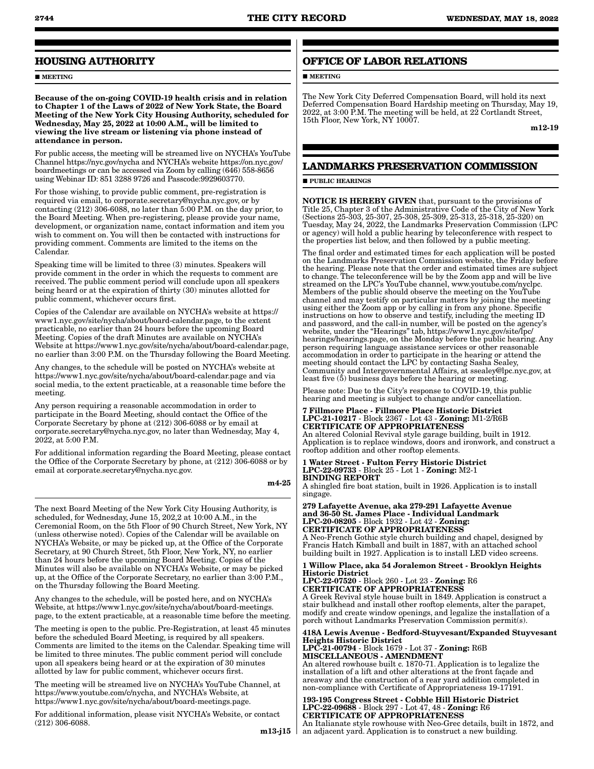### **HOUSING AUTHORITY**

**MEETING** 

Because of the on-going COVID-19 health crisis and in relation to Chapter 1 of the Laws of 2022 of New York State, the Board Meeting of the New York City Housing Authority, scheduled for Wednesday, May 25, 2022 at 10:00 A.M., will be limited to viewing the live stream or listening via phone instead of attendance in person.

For public access, the meeting will be streamed live on NYCHA's YouTube Channel https://nyc.gov/nycha and NYCHA's website https://on.nyc.gov/ boardmeetings or can be accessed via Zoom by calling (646) 558-8656 using Webinar ID: 851 3288 9726 and Passcode:9929603770.

For those wishing, to provide public comment, pre-registration is required via email, to corporate.secretary@nycha.nyc.gov, or by contacting (212) 306-6088, no later than 5:00 P.M. on the day prior, to the Board Meeting. When pre-registering, please provide your name, development, or organization name, contact information and item you wish to comment on. You will then be contacted with instructions for providing comment. Comments are limited to the items on the Calendar.

Speaking time will be limited to three (3) minutes. Speakers will provide comment in the order in which the requests to comment are received. The public comment period will conclude upon all speakers being heard or at the expiration of thirty (30) minutes allotted for public comment, whichever occurs first.

Copies of the Calendar are available on NYCHA's website at https:// www1.nyc.gov/site/nycha/about/board-calendar.page, to the extent practicable, no earlier than 24 hours before the upcoming Board Meeting. Copies of the draft Minutes are available on NYCHA's Website at https://www1.nyc.gov/site/nycha/about/board-calendar.page, no earlier than 3:00 P.M. on the Thursday following the Board Meeting.

Any changes, to the schedule will be posted on NYCHA's website at https://www1.nyc.gov/site/nycha/about/board-calendar.page and via social media, to the extent practicable, at a reasonable time before the meeting.

Any person requiring a reasonable accommodation in order to participate in the Board Meeting, should contact the Office of the Corporate Secretary by phone at (212) 306-6088 or by email at corporate.secretary@nycha.nyc.gov, no later than Wednesday, May 4, 2022, at 5:00 P.M.

For additional information regarding the Board Meeting, please contact the Office of the Corporate Secretary by phone, at (212) 306-6088 or by email at corporate.secretary@nycha.nyc.gov.

m4-25

The next Board Meeting of the New York City Housing Authority, is scheduled, for Wednesday, June 15, 202,2 at 10:00 A.M., in the Ceremonial Room, on the 5th Floor of 90 Church Street, New York, NY (unless otherwise noted). Copies of the Calendar will be available on NYCHA's Website, or may be picked up, at the Office of the Corporate Secretary, at 90 Church Street, 5th Floor, New York, NY, no earlier than 24 hours before the upcoming Board Meeting. Copies of the Minutes will also be available on NYCHA's Website, or may be picked up, at the Office of the Corporate Secretary, no earlier than 3:00 P.M., on the Thursday following the Board Meeting.

Any changes to the schedule, will be posted here, and on NYCHA's Website, at https://www1.nyc.gov/site/nycha/about/board-meetings. page, to the extent practicable, at a reasonable time before the meeting.

The meeting is open to the public. Pre-Registration, at least 45 minutes before the scheduled Board Meeting, is required by all speakers. Comments are limited to the items on the Calendar. Speaking time will be limited to three minutes. The public comment period will conclude upon all speakers being heard or at the expiration of 30 minutes allotted by law for public comment, whichever occurs first.

The meeting will be streamed live on NYCHA's YouTube Channel, at https://www.youtube.com/c/nycha, and NYCHA's Website, at https://www1.nyc.gov/site/nycha/about/board-meetings.page.

For additional information, please visit NYCHA's Website, or contact (212) 306-6088.

m13-j15  $\vert$ 

### **OFFICE OF LABOR RELATIONS**

**MEETING** 

The New York City Deferred Compensation Board, will hold its next Deferred Compensation Board Hardship meeting on Thursday, May 19, 2022, at 3:00 P.M. The meeting will be held, at  $2\overline{2}$  Cortlandt Street, 15th Floor, New York, NY 10007.

m12-19

### **LANDMARKS PRESERVATION COMMISSION**

**PUBLIC HEARINGS** 

NOTICE IS HEREBY GIVEN that, pursuant to the provisions of Title 25, Chapter 3 of the Administrative Code of the City of New York (Sections 25-303, 25-307, 25-308, 25-309, 25-313, 25-318, 25-320) on Tuesday, May 24, 2022, the Landmarks Preservation Commission (LPC or agency) will hold a public hearing by teleconference with respect to the properties list below, and then followed by a public meeting.

The final order and estimated times for each application will be posted on the Landmarks Preservation Commission website, the Friday before the hearing. Please note that the order and estimated times are subject to change. The teleconference will be by the Zoom app and will be live streamed on the LPC's YouTube channel, www.youtube.com/nyclpc. Members of the public should observe the meeting on the YouTube channel and may testify on particular matters by joining the meeting using either the Zoom app or by calling in from any phone. Specific instructions on how to observe and testify, including the meeting ID and password, and the call-in number, will be posted on the agency's website, under the "Hearings" tab, https://www1.nyc.gov/site/lpc/ hearings/hearings.page, on the Monday before the public hearing. Any person requiring language assistance services or other reasonable accommodation in order to participate in the hearing or attend the meeting should contact the LPC by contacting Sasha Sealey, Community and Intergovernmental Affairs, at ssealey@lpc.nyc.gov, at least five (5) business days before the hearing or meeting.

Please note: Due to the City's response to COVID-19, this public hearing and meeting is subject to change and/or cancellation.

7 Fillmore Place - Fillmore Place Historic District LPC-21-10217 - Block 2367 - Lot 43 - Zoning: M1-2/R6B CERTIFICATE OF APPROPRIATENESS

An altered Colonial Revival style garage building, built in 1912. Application is to replace windows, doors and ironwork, and construct a rooftop addition and other rooftop elements.

1 Water Street - Fulton Ferry Historic District LPC-22-09733 - Block 25 - Lot 1 - Zoning: M2-1 BINDING REPORT

A shingled fire boat station, built in 1926. Application is to install singage.

279 Lafayette Avenue, aka 279-291 Lafayette Avenue and 36-50 St. James Place - Individual Landmark LPC-20-08205 - Block 1932 - Lot 42 - Zoning: CERTIFICATE OF APPROPRIATENESS A Neo-French Gothic style church building and chapel, designed by

Francis Hatch Kimball and built in 1887, with an attached school building built in 1927. Application is to install LED video screens.

1 Willow Place, aka 54 Joralemon Street - Brooklyn Heights Historic District

LPC-22-07520 - Block 260 - Lot 23 - Zoning: R6 CERTIFICATE OF APPROPRIATENESS

A Greek Revival style house built in 1849. Application is construct a stair bulkhead and install other rooftop elements, alter the parapet, modify and create window openings, and legalize the installation of a porch without Landmarks Preservation Commission permit(s).

418A Lewis Avenue - Bedford-Stuyvesant/Expanded Stuyvesant Heights Historic District

LPC-21-00794 - Block 1679 - Lot 37 - Zoning: R6B MISCELLANEOUS - AMENDMENT

An altered rowhouse built c. 1870-71. Application is to legalize the installation of a lift and other alterations at the front façade and areaway and the construction of a rear yard addition completed in non-compliance with Certificate of Appropriateness 19-17191.

193-195 Congress Street - Cobble Hill Historic District LPC-22-09688 - Block 297 - Lot 47, 48 - Zoning: R6 CERTIFICATE OF APPROPRIATENESS

An Italianate style rowhouse with Neo-Grec details, built in 1872, and an adjacent yard. Application is to construct a new building.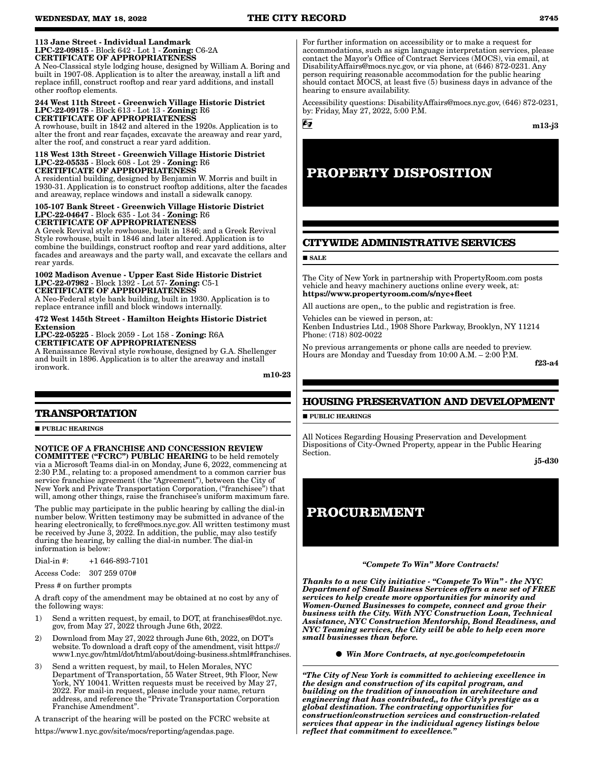#### 113 Jane Street - Individual Landmark LPC-22-09815 - Block 642 - Lot 1 - Zoning: C6-2A CERTIFICATE OF APPROPRIATENESS

A Neo-Classical style lodging house, designed by William A. Boring and built in 1907-08. Application is to alter the areaway, install a lift and replace infill, construct rooftop and rear yard additions, and install other rooftop elements.

#### 244 West 11th Street - Greenwich Village Historic District LPC-22-09178 - Block 613 - Lot 13 - Zoning: R6 CERTIFICATE OF APPROPRIATENESS

A rowhouse, built in 1842 and altered in the 1920s. Application is to alter the front and rear façades, excavate the areaway and rear yard, alter the roof, and construct a rear yard addition.

#### 118 West 13th Street - Greenwich Village Historic District LPC-22-05535 - Block 608 - Lot 29 - Zoning: R6 CERTIFICATE OF APPROPRIATENESS

A residential building, designed by Benjamin W. Morris and built in 1930-31. Application is to construct rooftop additions, alter the facades and areaway, replace windows and install a sidewalk canopy.

#### 105-107 Bank Street - Greenwich Village Historic District LPC-22-04647 - Block 635 - Lot 34 - Zoning: R6 CERTIFICATE OF APPROPRIATENESS

A Greek Revival style rowhouse, built in 1846; and a Greek Revival Style rowhouse, built in 1846 and later altered. Application is to combine the buildings, construct rooftop and rear yard additions, alter facades and areaways and the party wall, and excavate the cellars and rear yards.

#### 1002 Madison Avenue - Upper East Side Historic District LPC-22-07982 - Block 1392 - Lot 57- Zoning: C5-1 CERTIFICATE OF APPROPRIATENESS

A Neo-Federal style bank building, built in 1930. Application is to replace entrance infill and block windows internally.

#### 472 West 145th Street - Hamilton Heights Historic District Extension

LPC-22-05225 - Block 2059 - Lot 158 - Zoning: R6A

CERTIFICATE OF APPROPRIATENESS

A Renaissance Revival style rowhouse, designed by G.A. Shellenger and built in 1896. Application is to alter the areaway and install ironwork.

m10-23

### **TRANSPORTATION**

**PUBLIC HEARINGS** 

NOTICE OF A FRANCHISE AND CONCESSION REVIEW COMMITTEE ("FCRC") PUBLIC HEARING to be held remotely via a Microsoft Teams dial-in on Monday, June 6, 2022, commencing at 2:30 P.M., relating to: a proposed amendment to a common carrier bus service franchise agreement (the "Agreement"), between the City of New York and Private Transportation Corporation, (''franchisee") that will, among other things, raise the franchisee's uniform maximum fare.

The public may participate in the public hearing by calling the dial-in number below. Written testimony may be submitted in advance of the hearing electronically, to fcrc@mocs.nyc.gov. All written testimony must be received by June 3, 2022. In addition, the public, may also testify during the hearing, by calling the dial-in number. The dial-in information is below:

Dial-in #: +1 646-893-7101

Access Code: 307 259 070#

Press # on further prompts

A draft copy of the amendment may be obtained at no cost by any of the following ways:

- 1) Send a written request, by email, to DOT, at franchises@dot.nyc. gov, from May 27, 2022 through June 6th, 2022.
- 2) Download from May 27, 2022 through June 6th, 2022, on DOT's website. To download a draft copy of the amendment, visit https:// www1.nyc.gov/html/dot/html/about/doing-business.shtml#franchises.
- 3) Send a written request, by mail, to Helen Morales, NYC Department of Transportation, 55 Water Street, 9th Floor, New York, NY 10041. Written requests must be received by May 27, 2022. For mail-in request, please include your name, return address, and reference the "Private Transportation Corporation Franchise Amendment".

A transcript of the hearing will be posted on the FCRC website at

https://www1.nyc.gov/site/mocs/reporting/agendas.page.

For further information on accessibility or to make a request for accommodations, such as sign language interpretation services, please contact the Mayor's Office of Contract Services (MOCS), via email, at DisabilityAffairs@mocs.nyc.gov, or via phone, at (646) 872-0231. Any person requiring reasonable accommodation for the public hearing should contact MOCS, at least five  $(5)$  business days in advance of the hearing to ensure availability.

Accessibility questions: DisabilityAffairs@mocs.nyc.gov, (646) 872-0231, by: Friday, May 27, 2022, 5:00 P.M.

6g

### m13-j3

## **PROPERTY DISPOSITION**

### **CITYWIDE ADMINISTRATIVE SERVICES**

**SALE** 

The City of New York in partnership with PropertyRoom.com posts vehicle and heavy machinery auctions online every week, at: https://www.propertyroom.com/s/nyc+fleet

All auctions are open,, to the public and registration is free.

Vehicles can be viewed in person, at: Kenben Industries Ltd., 1908 Shore Parkway, Brooklyn, NY 11214 Phone: (718) 802-0022

No previous arrangements or phone calls are needed to preview. Hours are Monday and Tuesday from 10:00 A.M. – 2:00 P.M.

f23-a4

### **HOUSING PRESERVATION AND DEVELOPMENT**

**PUBLIC HEARINGS** 

All Notices Regarding Housing Preservation and Development Dispositions of City-Owned Property, appear in the Public Hearing Section.

j5-d30

## **PROCUREMENT**

#### *"Compete To Win" More Contracts!*

*Thanks to a new City initiative - "Compete To Win" - the NYC Department of Small Business Services offers a new set of FREE services to help create more opportunities for minority and Women-Owned Businesses to compete, connect and grow their business with the City. With NYC Construction Loan, Technical Assistance, NYC Construction Mentorship, Bond Readiness, and NYC Teaming services, the City will be able to help even more small businesses than before.*

*Win More Contracts, at nyc.gov/competetowin*

*"The City of New York is committed to achieving excellence in the design and construction of its capital program, and building on the tradition of innovation in architecture and engineering that has contributed,, to the City's prestige as a global destination. The contracting opportunities for construction/construction services and construction-related services that appear in the individual agency listings below reflect that commitment to excellence."*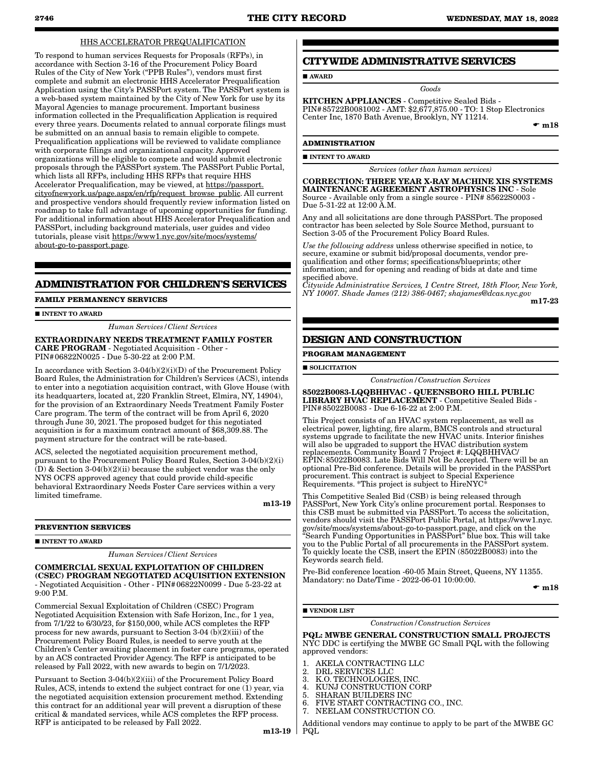**AWARD** 

### HHS ACCELERATOR PREQUALIFICATION

To respond to human services Requests for Proposals (RFPs), in accordance with Section 3-16 of the Procurement Policy Board Rules of the City of New York ("PPB Rules"), vendors must first complete and submit an electronic HHS Accelerator Prequalification Application using the City's PASSPort system. The PASSPort system is a web-based system maintained by the City of New York for use by its Mayoral Agencies to manage procurement. Important business information collected in the Prequalification Application is required every three years. Documents related to annual corporate filings must be submitted on an annual basis to remain eligible to compete. Prequalification applications will be reviewed to validate compliance with corporate filings and organizational capacity. Approved organizations will be eligible to compete and would submit electronic proposals through the PASSPort system. The PASSPort Public Portal, which lists all RFPs, including HHS RFPs that require HHS Accelerator Prequalification, may be viewed, at https://passport. cityofnewyork.us/page.aspx/en/rfp/request\_browse\_public. All current and prospective vendors should frequently review information listed on roadmap to take full advantage of upcoming opportunities for funding. For additional information about HHS Accelerator Prequalification and PASSPort, including background materials, user guides and video tutorials, please visit https://www1.nyc.gov/site/mocs/systems/ about-go-to-passport.page.

### **ADMINISTRATION FOR CHILDREN'S SERVICES**

**FAMILY PERMANENCY SERVICES**

**INTENT TO AWARD** 

*Human Services/Client Services*

#### EXTRAORDINARY NEEDS TREATMENT FAMILY FOSTER CARE PROGRAM - Negotiated Acquisition - Other - PIN#06822N0025 - Due 5-30-22 at 2:00 P.M.

In accordance with Section 3-04(b)(2)(i)(D) of the Procurement Policy Board Rules, the Administration for Children's Services (ACS), intends to enter into a negotiation acquisition contract, with Glove House (with its headquarters, located at, 220 Franklin Street, Elmira, NY, 14904), for the provision of an Extraordinary Needs Treatment Family Foster Care program. The term of the contract will be from April 6, 2020 through June 30, 2021. The proposed budget for this negotiated acquisition is for a maximum contract amount of \$68,309.88. The payment structure for the contract will be rate-based.

ACS, selected the negotiated acquisition procurement method, pursuant to the Procurement Policy Board Rules, Section 3-04(b)(2)(i)  $(D)$  & Section 3-04(b)(2)(ii) because the subject vendor was the only NYS OCFS approved agency that could provide child-specific behavioral Extraordinary Needs Foster Care services within a very limited timeframe.

m13-19

#### **PREVENTION SERVICES**

**INTENT TO AWARD** 

*Human Services/Client Services*

COMMERCIAL SEXUAL EXPLOITATION OF CHILDREN (CSEC) PROGRAM NEGOTIATED ACQUISITION EXTENSION - Negotiated Acquisition - Other - PIN#06822N0099 - Due 5-23-22 at  $9.00 \text{ PM}$ 

Commercial Sexual Exploitation of Children (CSEC) Program Negotiated Acquisition Extension with Safe Horizon, Inc., for 1 yea, from 7/1/22 to 6/30/23, for \$150,000, while ACS completes the RFP process for new awards, pursuant to Section 3-04 (b)(2)(iii) of the Procurement Policy Board Rules, is needed to serve youth at the Children's Center awaiting placement in foster care programs, operated by an ACS contracted Provider Agency. The RFP is anticipated to be released by Fall 2022, with new awards to begin on 7/1/2023.

Pursuant to Section 3-04(b)(2)(iii) of the Procurement Policy Board Rules, ACS, intends to extend the subject contract for one (1) year, via the negotiated acquisition extension procurement method. Extending this contract for an additional year will prevent a disruption of these critical & mandated services, while ACS completes the RFP process. RFP is anticipated to be released by Fall 2022.

**CITYWIDE ADMINISTRATIVE SERVICES**

KITCHEN APPLIANCES - Competitive Sealed Bids - PIN#85722B0081002 - AMT: \$2,677,875.00 - TO: 1 Stop Electronics Center Inc, 1870 Bath Avenue, Brooklyn, NY 11214.

*Goods*

 $\bullet$  m18

### **ADMINISTRATION**

**INTENT TO AWARD** 

*Services (other than human services)*

CORRECTION: THREE YEAR X-RAY MACHINE XIS SYSTEMS MAINTENANCE AGREEMENT ASTROPHYSICS INC - Sole Source - Available only from a single source - PIN# 85622S0003 - Due 5-31-22 at 12:00 A.M.

Any and all solicitations are done through PASSPort. The proposed contractor has been selected by Sole Source Method, pursuant to Section 3-05 of the Procurement Policy Board Rules.

*Use the following address* unless otherwise specified in notice, to secure, examine or submit bid/proposal documents, vendor prequalification and other forms; specifications/blueprints; other information; and for opening and reading of bids at date and time specified above.

*Citywide Administrative Services, 1 Centre Street, 18th Floor, New York, NY 10007. Shade James (212) 386-0467; shajames@dcas.nyc.gov* m17-23

### **DESIGN AND CONSTRUCTION**

**PROGRAM MANAGEMENT**

**SOLICITATION** 

*Construction/Construction Services*

85022B0083-LQQBHHVAC - QUEENSBORO HILL PUBLIC LIBRARY HVAC REPLACEMENT - Competitive Sealed Bids - PIN#85022B0083 - Due 6-16-22 at 2:00 P.M.

This Project consists of an HVAC system replacement, as well as electrical power, lighting, fire alarm, BMCS controls and structural systems upgrade to facilitate the new HVAC units. Interior finishes will also be upgraded to support the HVAC distribution system replacements. Community Board 7 Project #: LQQBHHVAC/ EPIN:85022B0083. Late Bids Will Not Be Accepted. There will be an optional Pre-Bid conference. Details will be provided in the PASSPort procurement. This contract is subject to Special Experience Requirements. \*This project is subject to HireNYC\*

This Competitive Sealed Bid (CSB) is being released through PASSPort, New York City's online procurement portal. Responses to this CSB must be submitted via PASSPort. To access the solicitation, vendors should visit the PASSPort Public Portal, at https://www1.nyc. gov/site/mocs/systems/about-go-to-passport.page, and click on the "Search Funding Opportunities in PASSPort" blue box. This will take you to the Public Portal of all procurements in the PASSPort system. To quickly locate the CSB, insert the EPIN (85022B0083) into the Keywords search field.

Pre-Bid conference location -60-05 Main Street, Queens, NY 11355. Mandatory: no Date/Time - 2022-06-01 10:00:00.

 $\bullet$  m18

**VENDOR LIST** 

*Construction/Construction Services*

PQL: MWBE GENERAL CONSTRUCTION SMALL PROJECTS

NYC DDC is certifying the MWBE GC Small PQL with the following approved vendors:

- 1. AKELA CONTRACTING LLC<br>2. DRL SERVICES LLC
- 2. DRL SERVICES LLC<br>3. K.O. TECHNOLOGIE
- 3. K.O. TECHNOLOGIES, INC.
- 4. KUNJ CONSTRUCTION CORP<br>5. SHARAN BUILDERS INC
- 5. SHARAN BUILDERS INC 6. FIVE START CONTRACTING CO., INC.
- 7. NEELAM CONSTRUCTION CO.

m13-19 PQLAdditional vendors may continue to apply to be part of the MWBE GC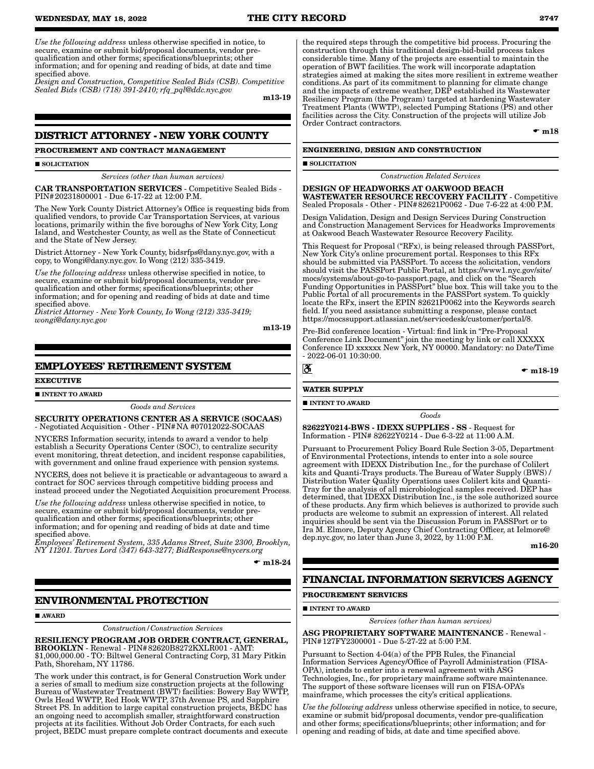**WEDNESDAY, MAY 18, 2022 THE CITY RECORD 2747**

*Use the following address* unless otherwise specified in notice, to secure, examine or submit bid/proposal documents, vendor prequalification and other forms; specifications/blueprints; other information; and for opening and reading of bids, at date and time specified above.

*Design and Construction, Competitive Sealed Bids (CSB). Competitive Sealed Bids (CSB) (718) 391-2410; rfq\_pql@ddc.nyc.gov*

m13-19

### **DISTRICT ATTORNEY - NEW YORK COUNTY**

**PROCUREMENT AND CONTRACT MANAGEMENT**

SOLICITATION

*Services (other than human services)*

CAR TRANSPORTATION SERVICES - Competitive Sealed Bids - PIN#20231800001 - Due 6-17-22 at 12:00 P.M.

The New York County District Attorney's Office is requesting bids from qualified vendors, to provide Car Transportation Services, at various locations, primarily within the five boroughs of New York City, Long Island, and Westchester County, as well as the State of Connecticut and the State of New Jersey.

District Attorney - New York County, bidsrfps@dany.nyc.gov, with a copy, to Wongi@dany.nyc.gov. Io Wong (212) 335-3419.

*Use the following address* unless otherwise specified in notice, to secure, examine or submit bid/proposal documents, vendor prequalification and other forms; specifications/blueprints; other information; and for opening and reading of bids at date and time specified above.

*District Attorney - New York County, Io Wong (212) 335-3419; wongi@dany.nyc.gov*

m13-19

### **EMPLOYEES' RETIREMENT SYSTEM**

**EXECUTIVE**

**INTENT TO AWARD** 

*Goods and Services*

SECURITY OPERATIONS CENTER AS A SERVICE (SOCAAS) - Negotiated Acquisition - Other - PIN#NA #07012022-SOCAAS

NYCERS Information security, intends to award a vendor to help establish a Security Operations Center (SOC), to centralize security event monitoring, threat detection, and incident response capabilities, with government and online fraud experience with pension systems.

NYCERS, does not believe it is practicable or advantageous to award a contract for SOC services through competitive bidding process and instead proceed under the Negotiated Acquisition procurement Process.

*Use the following address* unless otherwise specified in notice, to secure, examine or submit bid/proposal documents, vendor prequalification and other forms; specifications/blueprints; other information; and for opening and reading of bids at date and time specified above.

*Employees' Retirement System, 335 Adams Street, Suite 2300, Brooklyn, NY 11201. Tarves Lord (347) 643-3277; BidResponse@nycers.org*

 $\bullet$  m18-24

### **ENVIRONMENTAL PROTECTION**

AWARD

*Construction/Construction Services*

RESILIENCY PROGRAM JOB ORDER CONTRACT, GENERAL, BROOKLYN - Renewal - PIN#82620B8272KXLR001 - AMT: \$1,000,000.00 - TO: Biltwel General Contracting Corp, 31 Mary Pitkin Path, Shoreham, NY 11786.

The work under this contract, is for General Construction Work under a series of small to medium size construction projects at the following Bureau of Wastewater Treatment (BWT) facilities: Bowery Bay WWTP, Owls Head WWTP, Red Hook WWTP, 37th Avenue PS, and Sapphire Street PS. In addition to large capital construction projects, BEDC has an ongoing need to accomplish smaller, straightforward construction projects at its facilities. Without Job Order Contracts, for each such project, BEDC must prepare complete contract documents and execute

the required steps through the competitive bid process. Procuring the construction through this traditional design-bid-build process takes considerable time. Many of the projects are essential to maintain the operation of BWT facilities. The work will incorporate adaptation strategies aimed at making the sites more resilient in extreme weather conditions. As part of its commitment to planning for climate change and the impacts of extreme weather, DEP established its Wastewater Resiliency Program (the Program) targeted at hardening Wastewater Treatment Plants (WWTP), selected Pumping Stations (PS) and other facilities across the City. Construction of the projects will utilize Job Order Contract contractors.

 $\bullet$  m18

#### **ENGINEERING, DESIGN AND CONSTRUCTION**

#### **SOLICITATION**

*Construction Related Services*

DESIGN OF HEADWORKS AT OAKWOOD BEACH WASTEWATER RESOURCE RECOVERY FACILITY - Competitive Sealed Proposals - Other - PIN#82621P0062 - Due 7-6-22 at 4:00 P.M.

Design Validation, Design and Design Services During Construction and Construction Management Services for Headworks Improvements at Oakwood Beach Wastewater Resource Recovery Facility.

This Request for Proposal ("RFx), is being released through PASSPort, New York City's online procurement portal. Responses to this RFx should be submitted via PASSPort. To access the solicitation, vendors should visit the PASSPort Public Portal, at https://www1.nyc.gov/site/ mocs/systems/about-go-to-passport.page, and click on the "Search Funding Opportunities in PASSPort" blue box. This will take you to the Public Portal of all procurements in the PASSPort system. To quickly locate the RFx, insert the EPIN 82621P0062 into the Keywords search field. If you need assistance submitting a response, please contact https://mocssupport.atlassian.net/servicedesk/customer/portal/8.

Pre-Bid conference location - Virtual: find link in "Pre-Proposal Conference Link Document" join the meeting by link or call XXXXX Conference ID xxxxxx New York, NY 00000. Mandatory: no Date/Time - 2022-06-01 10:30:00.

 $\mathbf{r}$ 

 $\bullet$  m18-19

### **WATER SUPPLY**

**INTENT TO AWARD** 

*Goods*

82622Y0214-BWS - IDEXX SUPPLIES - SS - Request for Information - PIN# 82622Y0214 - Due 6-3-22 at 11:00 A.M.

Pursuant to Procurement Policy Board Rule Section 3-05, Department of Environmental Protections, intends to enter into a sole source agreement with IDEXX Distribution Inc., for the purchase of Colilert kits and Quanti-Trays products. The Bureau of Water Supply (BWS) / Distribution Water Quality Operations uses Colilert kits and Quanti-Tray for the analysis of all microbiological samples received. DEP has determined, that IDEXX Distribution Inc., is the sole authorized source of these products. Any firm which believes is authorized to provide such products are welcome to submit an expression of interest. All related inquiries should be sent via the Discussion Forum in PASSPort or to Ira M. Elmore, Deputy Agency Chief Contracting Officer, at Ielmore@ dep.nyc.gov, no later than June 3, 2022, by 11:00 P.M.

m16-20

### **FINANCIAL INFORMATION SERVICES AGENCY**

### **PROCUREMENT SERVICES**

**INTENT TO AWARD** 

*Services (other than human services)*

ASG PROPRIETARY SOFTWARE MAINTENANCE - Renewal - PIN#127FY2300001 - Due 5-27-22 at 5:00 P.M.

Pursuant to Section 4-04(a) of the PPB Rules, the Financial Information Services Agency/Office of Payroll Administration (FISA-OPA), intends to enter into a renewal agreement with ASG Technologies, Inc., for proprietary mainframe software maintenance. The support of these software licenses will run on FISA-OPA's mainframe, which processes the city's critical applications.

*Use the following address* unless otherwise specified in notice, to secure, examine or submit bid/proposal documents, vendor pre-qualification and other forms; specifications/blueprints; other information; and for opening and reading of bids, at date and time specified above.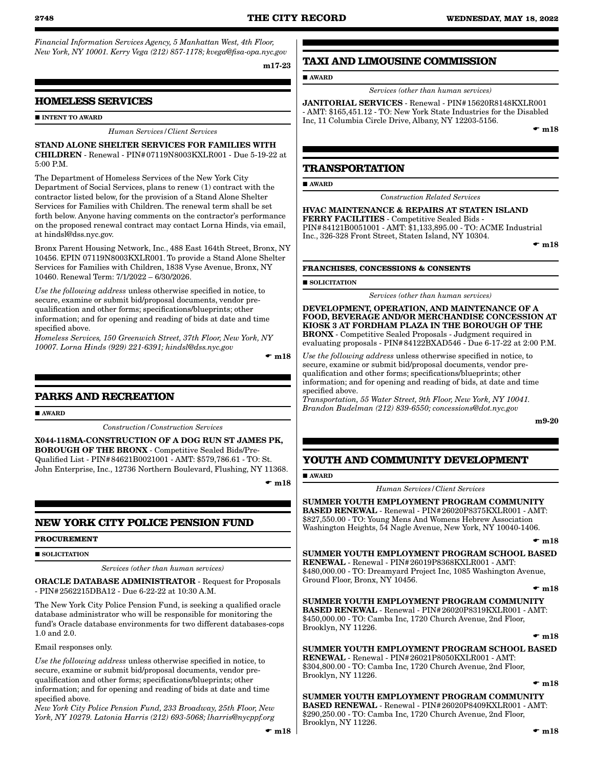*Financial Information Services Agency, 5 Manhattan West, 4th Floor, New York, NY 10001. Kerry Vega (212) 857-1178; kvega@fisa-opa.nyc.gov*

m17-23

### **HOMELESS SERVICES**

#### **INTENT TO AWARD**

#### *Human Services/Client Services*

STAND ALONE SHELTER SERVICES FOR FAMILIES WITH CHILDREN - Renewal - PIN#07119N8003KXLR001 - Due 5-19-22 at 5:00 P.M.

The Department of Homeless Services of the New York City Department of Social Services, plans to renew (1) contract with the contractor listed below, for the provision of a Stand Alone Shelter Services for Families with Children. The renewal term shall be set forth below. Anyone having comments on the contractor's performance on the proposed renewal contract may contact Lorna Hinds, via email, at hindsl@dss.nyc.gov.

Bronx Parent Housing Network, Inc., 488 East 164th Street, Bronx, NY 10456. EPIN 07119N8003KXLR001. To provide a Stand Alone Shelter Services for Families with Children, 1838 Vyse Avenue, Bronx, NY 10460. Renewal Term: 7/1/2022 – 6/30/2026.

*Use the following address* unless otherwise specified in notice, to secure, examine or submit bid/proposal documents, vendor prequalification and other forms; specifications/blueprints; other information; and for opening and reading of bids at date and time specified above.

*Homeless Services, 150 Greenwich Street, 37th Floor, New York, NY 10007. Lorna Hinds (929) 221-6391; hindsl@dss.nyc.gov*

 $\mathbf{r}$  m18

### **PARKS AND RECREATION**

**AWARD** 

*Construction/Construction Services*

X044-118MA-CONSTRUCTION OF A DOG RUN ST JAMES PK, BOROUGH OF THE BRONX - Competitive Sealed Bids/Pre-Qualified List - PIN#84621B0021001 - AMT: \$579,786.61 - TO: St. John Enterprise, Inc., 12736 Northern Boulevard, Flushing, NY 11368.

 $\bullet$  m18

### **NEW YORK CITY POLICE PENSION FUND**

#### **PROCUREMENT**

SOLICITATION

*Services (other than human services)*

ORACLE DATABASE ADMINISTRATOR - Request for Proposals - PIN#2562215DBA12 - Due 6-22-22 at 10:30 A.M.

The New York City Police Pension Fund, is seeking a qualified oracle database administrator who will be responsible for monitoring the fund's Oracle database environments for two different databases-cops 1.0 and 2.0.

Email responses only.

*Use the following address* unless otherwise specified in notice, to secure, examine or submit bid/proposal documents, vendor prequalification and other forms; specifications/blueprints; other information; and for opening and reading of bids at date and time specified above.

*New York City Police Pension Fund, 233 Broadway, 25th Floor, New York, NY 10279. Latonia Harris (212) 693-5068; lharris@nycppf.org*

### **TAXI AND LIMOUSINE COMMISSION**

**AWARD** 

*Services (other than human services)*

JANITORIAL SERVICES - Renewal - PIN#15620R8148KXLR001 - AMT: \$165,451.12 - TO: New York State Industries for the Disabled Inc, 11 Columbia Circle Drive, Albany, NY 12203-5156.

 $\bullet$  m18

#### **TRANSPORTATION**

AWARD

*Construction Related Services*

HVAC MAINTENANCE & REPAIRS AT STATEN ISLAND FERRY FACILITIES - Competitive Sealed Bids - PIN#84121B0051001 - AMT: \$1,133,895.00 - TO: ACME Industrial Inc., 326-328 Front Street, Staten Island, NY 10304.

 $\mathbf{m}$  m18

#### **FRANCHISES, CONCESSIONS & CONSENTS**

**SOLICITATION** 

*Services (other than human services)*

DEVELOPMENT, OPERATION, AND MAINTENANCE OF A FOOD, BEVERAGE AND/OR MERCHANDISE CONCESSION AT KIOSK 3 AT FORDHAM PLAZA IN THE BOROUGH OF THE BRONX - Competitive Sealed Proposals - Judgment required in evaluating proposals - PIN#84122BXAD546 - Due 6-17-22 at 2:00 P.M.

*Use the following address* unless otherwise specified in notice, to secure, examine or submit bid/proposal documents, vendor prequalification and other forms; specifications/blueprints; other information; and for opening and reading of bids, at date and time specified above.

*Transportation, 55 Water Street, 9th Floor, New York, NY 10041. Brandon Budelman (212) 839-6550; concessions@dot.nyc.gov*

m9-20

### **YOUTH AND COMMUNITY DEVELOPMENT**

AWARD

*Human Services/Client Services*

SUMMER YOUTH EMPLOYMENT PROGRAM COMMUNITY BASED RENEWAL - Renewal - PIN#26020P8375KXLR001 - AMT: \$827,550.00 - TO: Young Mens And Womens Hebrew Association Washington Heights, 54 Nagle Avenue, New York, NY 10040-1406.

 $\bullet$  m18

SUMMER YOUTH EMPLOYMENT PROGRAM SCHOOL BASED RENEWAL - Renewal - PIN#26019P8368KXLR001 - AMT:

\$480,000.00 - TO: Dreamyard Project Inc, 1085 Washington Avenue, Ground Floor, Bronx, NY 10456.

 $\mathbf{m}$  m 18

SUMMER YOUTH EMPLOYMENT PROGRAM COMMUNITY BASED RENEWAL - Renewal - PIN#26020P8319KXLR001 - AMT: \$450,000.00 - TO: Camba Inc, 1720 Church Avenue, 2nd Floor, Brooklyn, NY 11226.

 $\bullet$  m18

SUMMER YOUTH EMPLOYMENT PROGRAM SCHOOL BASED RENEWAL - Renewal - PIN#26021P8050KXLR001 - AMT: \$304,800.00 - TO: Camba Inc, 1720 Church Avenue, 2nd Floor, Brooklyn, NY 11226.

 $\mathbf{m}$ 18

SUMMER YOUTH EMPLOYMENT PROGRAM COMMUNITY BASED RENEWAL - Renewal - PIN#26020P8409KXLR001 - AMT: \$290,250.00 - TO: Camba Inc, 1720 Church Avenue, 2nd Floor, Brooklyn, NY 11226.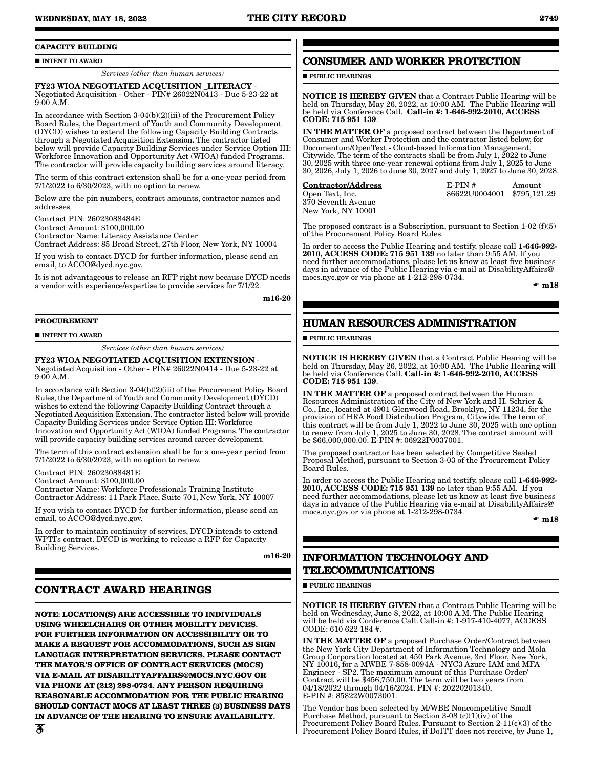### **CAPACITY BUILDING**

#### **INTENT TO AWARD**

*Services (other than human services)*

FY23 WIOA NEGOTIATED ACQUISITION \_LITERACY - Negotiated Acquisition - Other - PIN# 26022N0413 - Due 5-23-22 at 9:00 A.M.

In accordance with Section 3-04(b)(2)(iii) of the Procurement Policy Board Rules, the Department of Youth and Community Development (DYCD) wishes to extend the following Capacity Building Contracts through a Negotiated Acquisition Extension. The contractor listed below will provide Capacity Building Services under Service Option III: Workforce Innovation and Opportunity Act (WIOA) funded Programs. The contractor will provide capacity building services around literacy.

The term of this contract extension shall be for a one-year period from 7/1/2022 to 6/30/2023, with no option to renew.

Below are the pin numbers, contract amounts, contractor names and addresses

Conrtact PIN: 26023088484E Contract Amount: \$100,000.00 Contractor Name: Literacy Assistance Center Contract Address: 85 Broad Street, 27th Floor, New York, NY 10004

If you wish to contact DYCD for further information, please send an email, to ACCO@dycd.nyc.gov.

It is not advantageous to release an RFP right now because DYCD needs a vendor with experience/expertise to provide services for 7/1/22.

m16-20

#### **PROCUREMENT**

**INTENT TO AWARD** 

*Services (other than human services)*

#### FY23 WIOA NEGOTIATED ACQUISITION EXTENSION - Negotiated Acquisition - Other - PIN# 26022N0414 - Due 5-23-22 at 9:00 A.M.

In accordance with Section 3-04(b)(2)(iii) of the Procurement Policy Board Rules, the Department of Youth and Community Development (DYCD) wishes to extend the following Capacity Building Contract through a Negotiated Acquisition Extension. The contractor listed below will provide Capacity Building Services under Service Option III: Workforce Innovation and Opportunity Act (WIOA) funded Programs. The contractor will provide capacity building services around career development.

The term of this contract extension shall be for a one-year period from 7/1/2022 to 6/30/2023, with no option to renew.

Contract PIN: 26023088481E

Contract Amount: \$100,000.00

Contractor Name: Workforce Professionals Training Institute Contractor Address: 11 Park Place, Suite 701, New York, NY 10007

If you wish to contact DYCD for further information, please send an email, to ACCO@dycd.nyc.gov.

In order to maintain continuity of services, DYCD intends to extend WPTI's contract. DYCD is working to release a RFP for Capacity Building Services.

m16-20

### **CONTRACT AWARD HEARINGS**

**NOTE: LOCATION(S) ARE ACCESSIBLE TO INDIVIDUALS USING WHEELCHAIRS OR OTHER MOBILITY DEVICES. FOR FURTHER INFORMATION ON ACCESSIBILITY OR TO MAKE A REQUEST FOR ACCOMMODATIONS, SUCH AS SIGN LANGUAGE INTERPRETATION SERVICES, PLEASE CONTACT THE MAYOR'S OFFICE OF CONTRACT SERVICES (MOCS) VIA E-MAIL AT DISABILITYAFFAIRS@MOCS.NYC.GOV OR VIA PHONE AT (212) 298-0734. ANY PERSON REQUIRING REASONABLE ACCOMMODATION FOR THE PUBLIC HEARING SHOULD CONTACT MOCS AT LEAST THREE (3) BUSINESS DAYS IN ADVANCE OF THE HEARING TO ENSURE AVAILABILITY.**

### **CONSUMER AND WORKER PROTECTION**

**PUBLIC HEARINGS** 

NOTICE IS HEREBY GIVEN that a Contract Public Hearing will be held on Thursday, May 26, 2022, at 10:00 AM. The Public Hearing will be held via Conference Call. Call-in #: 1-646-992-2010, ACCESS CODE: 715 951 139.

IN THE MATTER OF a proposed contract between the Department of Consumer and Worker Protection and the contractor listed below, for Documentum/OpenText - Cloud-based Information Management, Citywide. The term of the contracts shall be from July  $1,2022$  to June 30, 2025 with three one-year renewal options from July 1, 2025 to June 30, 2026, July 1, 2026 to June 30, 2027 and July 1, 2027 to June 30, 2028.

| <b>Contractor/Address</b> | $E-PIN#$                   | Amount |
|---------------------------|----------------------------|--------|
| Open Text, Inc.           | 86622U0004001 \$795,121.29 |        |
| 370 Seventh Avenue        |                            |        |
| New York, NY 10001        |                            |        |

The proposed contract is a Subscription, pursuant to Section  $1-02(f)(5)$ of the Procurement Policy Board Rules.

In order to access the Public Hearing and testify, please call 1-646-992- 2010, ACCESS CODE: 715 951 139 no later than 9:55 AM. If you need further accommodations, please let us know at least five business days in advance of the Public Hearing via e-mail at DisabilityAffairs@ mocs.nyc.gov or via phone at 1-212-298-0734.

 $\mathbf{m}$ 18

### **HUMAN RESOURCES ADMINISTRATION**

#### **PUBLIC HEARINGS**

NOTICE IS HEREBY GIVEN that a Contract Public Hearing will be held on Thursday, May 26, 2022, at 10:00 AM. The Public Hearing will be held via Conference Call. Call-in #: 1-646-992-2010, ACCESS CODE: 715 951 139.

IN THE MATTER OF a proposed contract between the Human Resources Administration of the City of New York and H. Schrier & Co., Inc., located at 4901 Glenwood Road, Brooklyn, NY 11234, for the provision of HRA Food Distribution Program, Citywide. The term of this contract will be from July 1, 2022 to June 30, 2025 with one option to renew from July 1, 2025 to June 30, 2028. The contract amount will be \$66,000,000.00. E-PIN #: 06922P0037001.

The proposed contractor has been selected by Competitive Sealed Proposal Method, pursuant to Section 3-03 of the Procurement Policy Board Rules.

In order to access the Public Hearing and testify, please call 1-646-992- 2010, ACCESS CODE: 715 951 139 no later than 9:55 AM. If you need further accommodations, please let us know at least five business days in advance of the Public Hearing via e-mail at DisabilityAffairs@ mocs.nyc.gov or via phone at 1-212-298-0734.

 $\mathbf{m}$ 18

### **INFORMATION TECHNOLOGY AND TELECOMMUNICATIONS**

**PUBLIC HEARINGS** 

NOTICE IS HEREBY GIVEN that a Contract Public Hearing will be held on Wednesday, June 8, 2022, at 10:00 A.M. The Public Hearing will be held via Conference Call. Call-in #: 1-917-410-4077, ACCESS CODE: 610 622 184 #.

IN THE MATTER OF a proposed Purchase Order/Contract between the New York City Department of Information Technology and Mola Group Corporation located at 450 Park Avenue, 3rd Floor, New York, NY 10016, for a MWBE 7-858-0094A - NYC3 Azure IAM and MFA Engineer - SP2. The maximum amount of this Purchase Order/ Contract will be \$456,750.00. The term will be two years from 04/18/2022 through 04/16/2024. PIN #: 20220201340, E-PIN #: 85822W0073001.

The Vendor has been selected by M/WBE Noncompetitive Small Purchase Method, pursuant to Section 3-08 (c)(1)(iv) of the Procurement Policy Board Rules. Pursuant to Section 2-11(c)(3) of the Procurement Policy Board Rules, if DoITT does not receive, by June 1,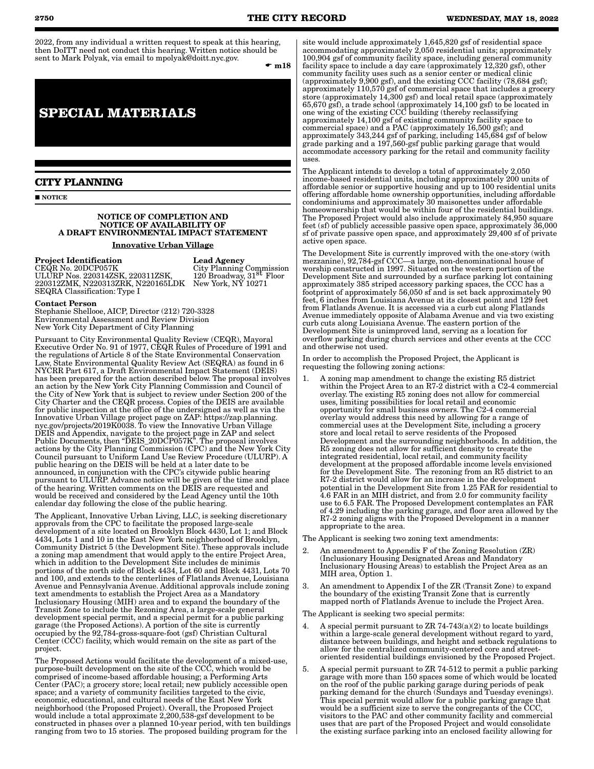2022, from any individual a written request to speak at this hearing, then DoITT need not conduct this hearing. Written notice should be sent to Mark Polyak, via email to mpolyak@doitt.nyc.gov.

 $\mathbf{m}$ 18

## **SPECIAL MATERIALS**

### **CITY PLANNING**

**NOTICE** 

#### NOTICE OF COMPLETION AND NOTICE OF AVAILABILITY OF A DRAFT ENVIRONMENTAL IMPACT STATEMENT

Innovative Urban Village

### Project Identification

CEQR No. 20DCP057K ULURP Nos. 220314ZSK, 220311ZSK, 220312ZMK, N220313ZRK, N220165LDK SEQRA Classification: Type I

Lead Agency City Planning Commission 120 Broadway, 31st Floor New York, NY 10271

#### Contact Person

Stephanie Shellooe, AICP, Director (212) 720-3328 Environmental Assessment and Review Division New York City Department of City Planning

Pursuant to City Environmental Quality Review (CEQR), Mayoral Executive Order No. 91 of 1977, CEQR Rules of Procedure of 1991 and the regulations of Article 8 of the State Environmental Conservation Law, State Environmental Quality Review Act (SEQRA) as found in 6 NYCRR Part 617, a Draft Environmental Impact Statement (DEIS) has been prepared for the action described below. The proposal involves an action by the New York City Planning Commission and Council of the City of New York that is subject to review under Section 200 of the City Charter and the CEQR process. Copies of the DEIS are available for public inspection at the office of the undersigned as well as via the Innovative Urban Village project page on ZAP: https://zap.planning. nyc.gov/projects/2019K0038. To view the Innovative Urban Village DEIS and Appendix, navigate to the project page in ZAP and select Public Documents, then "DEIS\_20DCP057K". The proposal involves actions by the City Planning Commission (CPC) and the New York City Council pursuant to Uniform Land Use Review Procedure (ULURP). A public hearing on the DEIS will be held at a later date to be announced, in conjunction with the CPC's citywide public hearing pursuant to ULURP. Advance notice will be given of the time and place of the hearing. Written comments on the DEIS are requested and would be received and considered by the Lead Agency until the 10th calendar day following the close of the public hearing.

The Applicant, Innovative Urban Living, LLC, is seeking discretionary approvals from the CPC to facilitate the proposed large-scale development of a site located on Brooklyn Block 4430, Lot 1; and Block 4434, Lots 1 and 10 in the East New York neighborhood of Brooklyn, Community District 5 (the Development Site). These approvals include a zoning map amendment that would apply to the entire Project Area, which in addition to the Development Site includes de minimis portions of the north side of Block 4434, Lot 60 and Block 4431, Lots 70 and 100, and extends to the centerlines of Flatlands Avenue, Louisiana Avenue and Pennsylvania Avenue. Additional approvals include zoning text amendments to establish the Project Area as a Mandatory Inclusionary Housing (MIH) area and to expand the boundary of the Transit Zone to include the Rezoning Area, a large-scale general development special permit, and a special permit for a public parking garage (the Proposed Actions). A portion of the site is currently occupied by the 92,784-gross-square-foot (gsf) Christian Cultural Center (CCC) facility, which would remain on the site as part of the project.

The Proposed Actions would facilitate the development of a mixed-use, purpose-built development on the site of the CCC, which would be comprised of income-based affordable housing; a Performing Arts Center (PAC); a grocery store; local retail; new publicly accessible open space; and a variety of community facilities targeted to the civic, economic, educational, and cultural needs of the East New York neighborhood (the Proposed Project). Overall, the Proposed Project would include a total approximate 2,200,538-gsf development to be constructed in phases over a planned 10-year period, with ten buildings ranging from two to 15 stories. The proposed building program for the

site would include approximately 1,645,820 gsf of residential space accommodating approximately 2,050 residential units; approximately 100,904 gsf of community facility space, including general community facility space to include a day care (approximately 12,320 gsf), other community facility uses such as a senior center or medical clinic (approximately 9,900 gsf), and the existing CCC facility (78,684 gsf); approximately 110,570 gsf of commercial space that includes a grocery store (approximately 14,300 gsf) and local retail space (approximately 65,670 gsf), a trade school (approximately 14,100 gsf) to be located in one wing of the existing CCC building (thereby reclassifying approximately 14,100 gsf of existing community facility space to commercial space) and a PAC (approximately 16,500 gsf); and approximately 343,244 gsf of parking, including 145,684 gsf of below grade parking and a 197,560-gsf public parking garage that would accommodate accessory parking for the retail and community facility uses.

The Applicant intends to develop a total of approximately 2,050 income-based residential units, including approximately 200 units of affordable senior or supportive housing and up to 100 residential units offering affordable home ownership opportunities, including affordable condominiums and approximately 30 maisonettes under affordable homeownership that would be within four of the residential buildings. The Proposed Project would also include approximately 84,950 square feet (sf) of publicly accessible passive open space, approximately 36,000 sf of private passive open space, and approximately 29,400 sf of private active open space.

The Development Site is currently improved with the one-story (with mezzanine), 92,784-gsf CCC—a large, non-denominational house of worship constructed in 1997. Situated on the western portion of the Development Site and surrounded by a surface parking lot containing approximately 385 striped accessory parking spaces, the CCC has a footprint of approximately 56,050 sf and is set back approximately 90 feet, 6 inches from Louisiana Avenue at its closest point and 129 feet from Flatlands Avenue. It is accessed via a curb cut along Flatlands Avenue immediately opposite of Alabama Avenue and via two existing curb cuts along Louisiana Avenue. The eastern portion of the Development Site is unimproved land, serving as a location for overflow parking during church services and other events at the CCC and otherwise not used.

In order to accomplish the Proposed Project, the Applicant is requesting the following zoning actions:

1. A zoning map amendment to change the existing R5 district within the Project Area to an R7-2 district with a C2-4 commercial overlay. The existing R5 zoning does not allow for commercial uses, limiting possibilities for local retail and economic opportunity for small business owners. The C2-4 commercial overlay would address this need by allowing for a range of commercial uses at the Development Site, including a grocery store and local retail to serve residents of the Proposed Development and the surrounding neighborhoods. In addition, the R5 zoning does not allow for sufficient density to create the integrated residential, local retail, and community facility development at the proposed affordable income levels envisioned for the Development Site. The rezoning from an R5 district to an R7-2 district would allow for an increase in the development potential in the Development Site from 1.25 FAR for residential to 4.6 FAR in an MIH district, and from 2.0 for community facility use to 6.5 FAR. The Proposed Development contemplates an FAR of 4.29 including the parking garage, and floor area allowed by the R7-2 zoning aligns with the Proposed Development in a manner appropriate to the area.

The Applicant is seeking two zoning text amendments:

- 2. An amendment to Appendix F of the Zoning Resolution (ZR) (Inclusionary Housing Designated Areas and Mandatory Inclusionary Housing Areas) to establish the Project Area as an MIH area, Option 1.
- 3. An amendment to Appendix I of the ZR (Transit Zone) to expand the boundary of the existing Transit Zone that is currently mapped north of Flatlands Avenue to include the Project Area.

The Applicant is seeking two special permits:

- 4. A special permit pursuant to ZR  $74-743(a)(2)$  to locate buildings within a large-scale general development without regard to yard, distance between buildings, and height and setback regulations to allow for the centralized community-centered core and streetoriented residential buildings envisioned by the Proposed Project.
- 5. A special permit pursuant to ZR 74-512 to permit a public parking garage with more than 150 spaces some of which would be located on the roof of the public parking garage during periods of peak parking demand for the church (Sundays and Tuesday evenings). This special permit would allow for a public parking garage that would be a sufficient size to serve the congregants of the CCC, visitors to the PAC and other community facility and commercial uses that are part of the Proposed Project and would consolidate the existing surface parking into an enclosed facility allowing for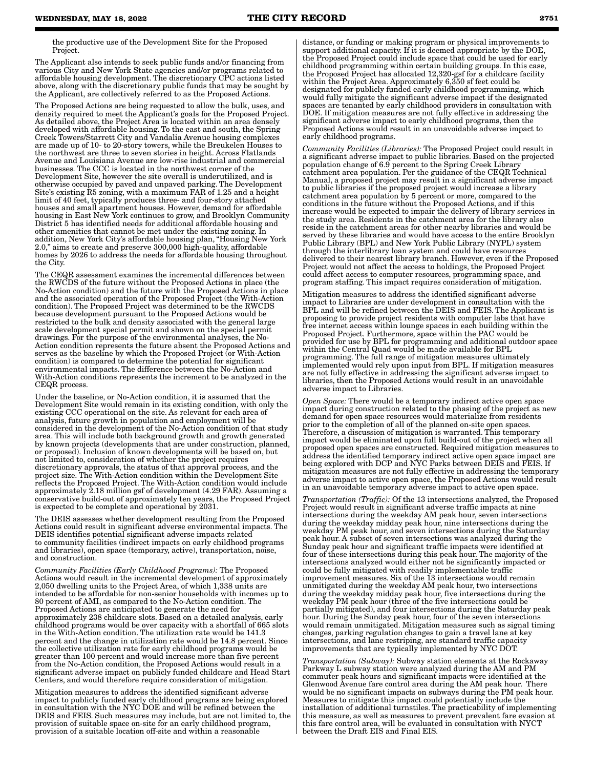the productive use of the Development Site for the Proposed Project.

The Applicant also intends to seek public funds and/or financing from various City and New York State agencies and/or programs related to affordable housing development. The discretionary CPC actions listed above, along with the discretionary public funds that may be sought by the Applicant, are collectively referred to as the Proposed Actions.

The Proposed Actions are being requested to allow the bulk, uses, and density required to meet the Applicant's goals for the Proposed Project. As detailed above, the Project Area is located within an area densely developed with affordable housing. To the east and south, the Spring Creek Towers/Starrett City and Vandalia Avenue housing complexes are made up of 10- to 20-story towers, while the Breukelen Houses to the northwest are three to seven stories in height. Across Flatlands Avenue and Louisiana Avenue are low-rise industrial and commercial businesses. The CCC is located in the northwest corner of the Development Site, however the site overall is underutilized, and is otherwise occupied by paved and unpaved parking. The Development Site's existing R5 zoning, with a maximum FAR of 1.25 and a height limit of 40 feet, typically produces three- and four-story attached houses and small apartment houses. However, demand for affordable housing in East New York continues to grow, and Brooklyn Community District 5 has identified needs for additional affordable housing and other amenities that cannot be met under the existing zoning. In addition, New York City's affordable housing plan, "Housing New York 2.0," aims to create and preserve 300,000 high-quality, affordable homes by 2026 to address the needs for affordable housing throughout the City.

The CEQR assessment examines the incremental differences between the RWCDS of the future without the Proposed Actions in place (the No-Action condition) and the future with the Proposed Actions in place and the associated operation of the Proposed Project (the With-Action condition). The Proposed Project was determined to be the RWCDS because development pursuant to the Proposed Actions would be restricted to the bulk and density associated with the general large scale development special permit and shown on the special permit drawings. For the purpose of the environmental analyses, the No-Action condition represents the future absent the Proposed Actions and serves as the baseline by which the Proposed Project (or With-Action condition) is compared to determine the potential for significant environmental impacts. The difference between the No-Action and With-Action conditions represents the increment to be analyzed in the CEQR process.

Under the baseline, or No-Action condition, it is assumed that the Development Site would remain in its existing condition, with only the existing CCC operational on the site. As relevant for each area of analysis, future growth in population and employment will be considered in the development of the No-Action condition of that study area. This will include both background growth and growth generated by known projects (developments that are under construction, planned, or proposed). Inclusion of known developments will be based on, but not limited to, consideration of whether the project requires discretionary approvals, the status of that approval process, and the project size. The With-Action condition within the Development Site reflects the Proposed Project. The With-Action condition would include approximately 2.18 million gsf of development (4.29 FAR). Assuming a conservative build-out of approximately ten years, the Proposed Project is expected to be complete and operational by 2031.

The DEIS assesses whether development resulting from the Proposed Actions could result in significant adverse environmental impacts. The DEIS identifies potential significant adverse impacts related to community facilities (indirect impacts on early childhood programs and libraries), open space (temporary, active), transportation, noise, and construction.

*Community Facilities (Early Childhood Programs):* The Proposed Actions would result in the incremental development of approximately 2,050 dwelling units to the Project Area, of which 1,338 units are intended to be affordable for non-senior households with incomes up to 80 percent of AMI, as compared to the No-Action condition. The Proposed Actions are anticipated to generate the need for approximately 238 childcare slots. Based on a detailed analysis, early childhood programs would be over capacity with a shortfall of 665 slots in the With-Action condition. The utilization rate would be 141.3 percent and the change in utilization rate would be 14.8 percent. Since the collective utilization rate for early childhood programs would be greater than 100 percent and would increase more than five percent from the No-Action condition, the Proposed Actions would result in a significant adverse impact on publicly funded childcare and Head Start Centers, and would therefore require consideration of mitigation.

Mitigation measures to address the identified significant adverse impact to publicly funded early childhood programs are being explored in consultation with the NYC DOE and will be refined between the DEIS and FEIS. Such measures may include, but are not limited to, the provision of suitable space on-site for an early childhood program, provision of a suitable location off-site and within a reasonable

distance, or funding or making program or physical improvements to support additional capacity. If it is deemed appropriate by the DOE, the Proposed Project could include space that could be used for early childhood programming within certain building groups. In this case, the Proposed Project has allocated 12,320-gsf for a childcare facility within the Project Area. Approximately 6,350 sf feet could be designated for publicly funded early childhood programming, which would fully mitigate the significant adverse impact if the designated spaces are tenanted by early childhood providers in consultation with DOE. If mitigation measures are not fully effective in addressing the significant adverse impact to early childhood programs, then the Proposed Actions would result in an unavoidable adverse impact to early childhood programs.

*Community Facilities (Libraries):* The Proposed Project could result in a significant adverse impact to public libraries. Based on the projected population change of 6.9 percent to the Spring Creek Library catchment area population. Per the guidance of the CEQR Technical Manual, a proposed project may result in a significant adverse impact to public libraries if the proposed project would increase a library catchment area population by 5 percent or more, compared to the conditions in the future without the Proposed Actions, and if this increase would be expected to impair the delivery of library services in the study area. Residents in the catchment area for the library also reside in the catchment areas for other nearby libraries and would be served by these libraries and would have access to the entire Brooklyn Public Library (BPL) and New York Public Library (NYPL) system through the interlibrary loan system and could have resources delivered to their nearest library branch. However, even if the Proposed Project would not affect the access to holdings, the Proposed Project could affect access to computer resources, programming space, and program staffing. This impact requires consideration of mitigation.

Mitigation measures to address the identified significant adverse impact to Libraries are under development in consultation with the BPL and will be refined between the DEIS and FEIS. The Applicant is proposing to provide project residents with computer labs that have free internet access within lounge spaces in each building within the Proposed Project. Furthermore, space within the PAC would be provided for use by BPL for programming and additional outdoor space within the Central Quad would be made available for BPL programming. The full range of mitigation measures ultimately implemented would rely upon input from BPL. If mitigation measures are not fully effective in addressing the significant adverse impact to libraries, then the Proposed Actions would result in an unavoidable adverse impact to Libraries.

*Open Space:* There would be a temporary indirect active open space impact during construction related to the phasing of the project as new demand for open space resources would materialize from residents prior to the completion of all of the planned on-site open spaces. Therefore, a discussion of mitigation is warranted. This temporary impact would be eliminated upon full build-out of the project when all proposed open spaces are constructed. Required mitigation measures to address the identified temporary indirect active open space impact are being explored with DCP and NYC Parks between DEIS and FEIS. If mitigation measures are not fully effective in addressing the temporary adverse impact to active open space, the Proposed Actions would result in an unavoidable temporary adverse impact to active open space.

*Transportation (Traffic):* Of the 13 intersections analyzed, the Proposed Project would result in significant adverse traffic impacts at nine intersections during the weekday AM peak hour, seven intersections during the weekday midday peak hour, nine intersections during the weekday PM peak hour, and seven intersections during the Saturday peak hour. A subset of seven intersections was analyzed during the Sunday peak hour and significant traffic impacts were identified at four of these intersections during this peak hour. The majority of the intersections analyzed would either not be significantly impacted or could be fully mitigated with readily implementable traffic improvement measures. Six of the 13 intersections would remain unmitigated during the weekday AM peak hour, two intersections during the weekday midday peak hour, five intersections during the weekday PM peak hour (three of the five intersections could be partially mitigated), and four intersections during the Saturday peak hour. During the Sunday peak hour, four of the seven intersections would remain unmitigated. Mitigation measures such as signal timing changes, parking regulation changes to gain a travel lane at key intersections, and lane restriping, are standard traffic capacity improvements that are typically implemented by NYC DOT.

*Transportation (Subway):* Subway station elements at the Rockaway Parkway L subway station were analyzed during the AM and PM commuter peak hours and significant impacts were identified at the Glenwood Avenue fare control area during the AM peak hour. There would be no significant impacts on subways during the PM peak hour. Measures to mitigate this impact could potentially include the installation of additional turnstiles. The practicability of implementing this measure, as well as measures to prevent prevalent fare evasion at this fare control area, will be evaluated in consultation with NYCT between the Draft EIS and Final EIS.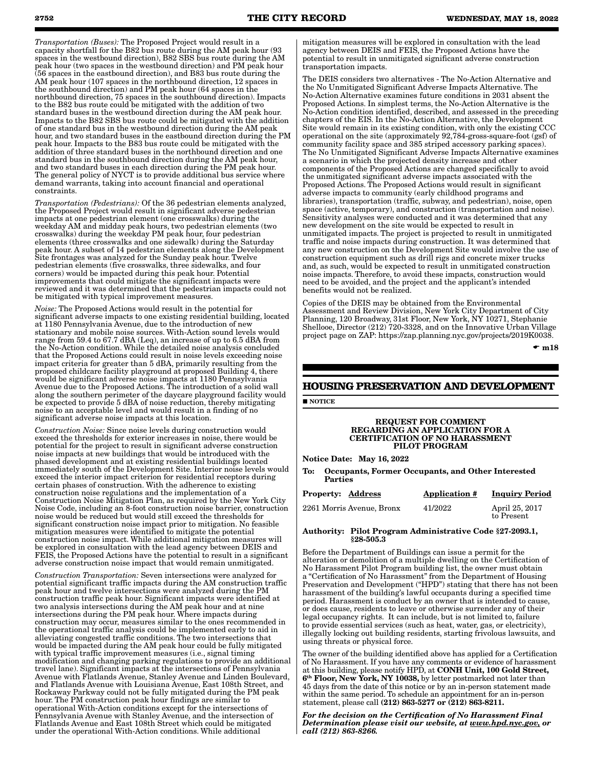*Transportation (Buses):* The Proposed Project would result in a capacity shortfall for the B82 bus route during the AM peak hour (93 spaces in the westbound direction), B82 SBS bus route during the AM peak hour (two spaces in the westbound direction) and PM peak hour (56 spaces in the eastbound direction), and B83 bus route during the AM peak hour (107 spaces in the northbound direction, 12 spaces in the southbound direction) and PM peak hour (64 spaces in the northbound direction, 75 spaces in the southbound direction). Impacts to the B82 bus route could be mitigated with the addition of two standard buses in the westbound direction during the AM peak hour. Impacts to the B82 SBS bus route could be mitigated with the addition of one standard bus in the westbound direction during the AM peak hour, and two standard buses in the eastbound direction during the PM peak hour. Impacts to the B83 bus route could be mitigated with the addition of three standard buses in the northbound direction and one standard bus in the southbound direction during the AM peak hour, and two standard buses in each direction during the PM peak hour. The general policy of NYCT is to provide additional bus service where demand warrants, taking into account financial and operational constraints.

*Transportation (Pedestrians):* Of the 36 pedestrian elements analyzed, the Proposed Project would result in significant adverse pedestrian impacts at one pedestrian element (one crosswalks) during the weekday AM and midday peak hours, two pedestrian elements (two crosswalks) during the weekday PM peak hour, four pedestrian elements (three crosswalks and one sidewalk) during the Saturday peak hour. A subset of 14 pedestrian elements along the Development Site frontages was analyzed for the Sunday peak hour. Twelve pedestrian elements (five crosswalks, three sidewalks, and four corners) would be impacted during this peak hour. Potential improvements that could mitigate the significant impacts were reviewed and it was determined that the pedestrian impacts could not be mitigated with typical improvement measures.

*Noise:* The Proposed Actions would result in the potential for significant adverse impacts to one existing residential building, located at 1180 Pennsylvania Avenue, due to the introduction of new stationary and mobile noise sources. With-Action sound levels would range from 59.4 to 67.7 dBA (Leq), an increase of up to 6.5 dBA from the No-Action condition. While the detailed noise analysis concluded that the Proposed Actions could result in noise levels exceeding noise impact criteria for greater than 5 dBA, primarily resulting from the proposed childcare facility playground at proposed Building 4, there would be significant adverse noise impacts at 1180 Pennsylvania Avenue due to the Proposed Actions. The introduction of a solid wall along the southern perimeter of the daycare playground facility would be expected to provide 5 dBA of noise reduction, thereby mitigating noise to an acceptable level and would result in a finding of no significant adverse noise impacts at this location.

*Construction Noise:* Since noise levels during construction would exceed the thresholds for exterior increases in noise, there would be potential for the project to result in significant adverse construction noise impacts at new buildings that would be introduced with the phased development and at existing residential buildings located immediately south of the Development Site. Interior noise levels would exceed the interior impact criterion for residential receptors during certain phases of construction. With the adherence to existing construction noise regulations and the implementation of a Construction Noise Mitigation Plan, as required by the New York City Noise Code, including an 8-foot construction noise barrier, construction noise would be reduced but would still exceed the thresholds for significant construction noise impact prior to mitigation. No feasible mitigation measures were identified to mitigate the potential construction noise impact. While additional mitigation measures will be explored in consultation with the lead agency between DEIS and FEIS, the Proposed Actions have the potential to result in a significant adverse construction noise impact that would remain unmitigated.

*Construction Transportation:* Seven intersections were analyzed for potential significant traffic impacts during the AM construction traffic peak hour and twelve intersections were analyzed during the PM construction traffic peak hour. Significant impacts were identified at two analysis intersections during the AM peak hour and at nine intersections during the PM peak hour. Where impacts during construction may occur, measures similar to the ones recommended in the operational traffic analysis could be implemented early to aid in alleviating congested traffic conditions. The two intersections that would be impacted during the AM peak hour could be fully mitigated with typical traffic improvement measures (i.e., signal timing modification and changing parking regulations to provide an additional travel lane). Significant impacts at the intersections of Pennsylvania Avenue with Flatlands Avenue, Stanley Avenue and Linden Boulevard, and Flatlands Avenue with Louisiana Avenue, East 108th Street, and Rockaway Parkway could not be fully mitigated during the PM peak hour. The PM construction peak hour findings are similar to operational With-Action conditions except for the intersections of Pennsylvania Avenue with Stanley Avenue, and the intersection of Flatlands Avenue and East 108th Street which could be mitigated under the operational With-Action conditions. While additional

mitigation measures will be explored in consultation with the lead agency between DEIS and FEIS, the Proposed Actions have the potential to result in unmitigated significant adverse construction transportation impacts.

The DEIS considers two alternatives - The No‐Action Alternative and the No Unmitigated Significant Adverse Impacts Alternative. The No-Action Alternative examines future conditions in 2031 absent the Proposed Actions. In simplest terms, the No-Action Alternative is the No-Action condition identified, described, and assessed in the preceding chapters of the EIS. In the No-Action Alternative, the Development Site would remain in its existing condition, with only the existing CCC operational on the site (approximately 92,784-gross-square-foot (gsf) of community facility space and 385 striped accessory parking spaces). The No Unmitigated Significant Adverse Impacts Alternative examines a scenario in which the projected density increase and other components of the Proposed Actions are changed specifically to avoid the unmitigated significant adverse impacts associated with the Proposed Actions. The Proposed Actions would result in significant adverse impacts to community (early childhood programs and libraries), transportation (traffic, subway, and pedestrian), noise, open space (active, temporary), and construction (transportation and noise). Sensitivity analyses were conducted and it was determined that any new development on the site would be expected to result in unmitigated impacts. The project is projected to result in unmitigated traffic and noise impacts during construction. It was determined that any new construction on the Development Site would involve the use of construction equipment such as drill rigs and concrete mixer trucks and, as such, would be expected to result in unmitigated construction noise impacts. Therefore, to avoid these impacts, construction would need to be avoided, and the project and the applicant's intended benefits would not be realized.

Copies of the DEIS may be obtained from the Environmental Assessment and Review Division, New York City Department of City Planning, 120 Broadway, 31st Floor, New York, NY 10271, Stephanie Shellooe, Director (212) 720-3328, and on the Innovative Urban Village project page on ZAP: https://zap.planning.nyc.gov/projects/2019K0038.

 $\bullet$  m18

### **HOUSING PRESERVATION AND DEVELOPMENT**

**NOTICE** 

#### REQUEST FOR COMMENT REGARDING AN APPLICATION FOR A CERTIFICATION OF NO HARASSMENT PILOT PROGRAM

Notice Date: May 16, 2022

To: Occupants, Former Occupants, and Other Interested **Parties** 

| <b>Property: Address</b>  | <b>Application #</b> | <b>Inquiry Period</b>        |
|---------------------------|----------------------|------------------------------|
| 2261 Morris Avenue, Bronx | 41/2022              | April 25, 2017<br>to Present |

Authority: Pilot Program Administrative Code §27-2093.1, §28-505.3

Before the Department of Buildings can issue a permit for the alteration or demolition of a multiple dwelling on the Certification of No Harassment Pilot Program building list, the owner must obtain a "Certification of No Harassment" from the Department of Housing Preservation and Development ("HPD") stating that there has not been harassment of the building's lawful occupants during a specified time period. Harassment is conduct by an owner that is intended to cause, or does cause, residents to leave or otherwise surrender any of their legal occupancy rights. It can include, but is not limited to, failure to provide essential services (such as heat, water, gas, or electricity), illegally locking out building residents, starting frivolous lawsuits, and using threats or physical force.

The owner of the building identified above has applied for a Certification of No Harassment. If you have any comments or evidence of harassment at this building, please notify HPD, at CONH Unit, 100 Gold Street, 6th Floor, New York, NY 10038, by letter postmarked not later than 45 days from the date of this notice or by an in-person statement made within the same period. To schedule an appointment for an in-person statement, please call (212) 863-5277 or (212) 863-8211.

*For the decision on the Certification of No Harassment Final Determination please visit our website, at www.hpd.nyc.gov, or call (212) 863-8266.*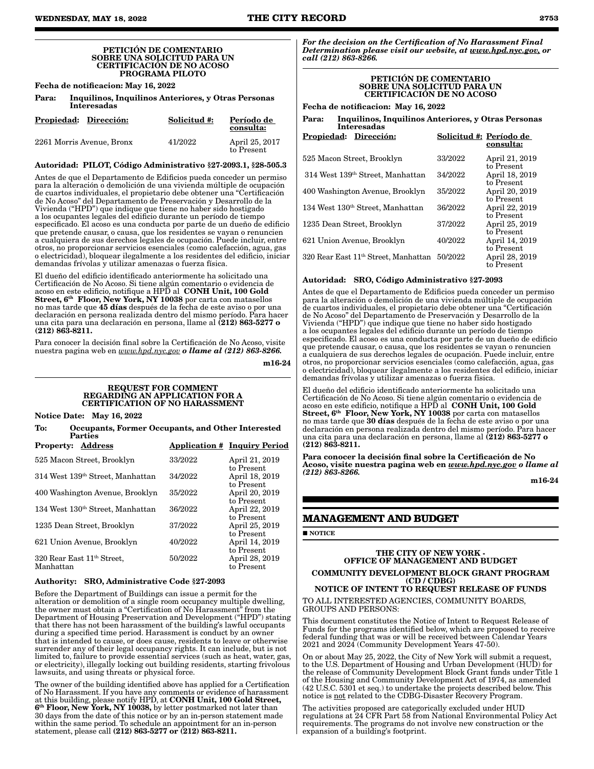#### PETICIÓN DE COMENTARIO SOBRE UNA SOLICITUD PARA UN CERTIFICACIÓN DE NO ACOSO PROGRAMA PILOTO

Fecha de notificacion: May 16, 2022

| Para: | Inquilinos, Inquilinos Anteriores, y Otras Personas |
|-------|-----------------------------------------------------|
|       | Interesadas                                         |

| Propiedad: Dirección:     | Solicitud #: | Período de<br>consulta:      |
|---------------------------|--------------|------------------------------|
| 2261 Morris Avenue, Bronx | 41/2022      | April 25, 2017<br>to Present |

### Autoridad: PILOT, Código Administrativo §27-2093.1, §28-505.3

Antes de que el Departamento de Edificios pueda conceder un permiso para la alteración o demolición de una vivienda múltiple de ocupación de cuartos individuales, el propietario debe obtener una "Certificación de No Acoso" del Departamento de Preservación y Desarrollo de la Vivienda ("HPD") que indique que tiene no haber sido hostigado a los ocupantes legales del edificio durante un período de tiempo especificado. El acoso es una conducta por parte de un dueño de edificio que pretende causar, o causa, que los residentes se vayan o renuncien a cualquiera de sus derechos legales de ocupación. Puede incluir, entre otros, no proporcionar servicios esenciales (como calefacción, agua, gas o electricidad), bloquear ilegalmente a los residentes del edificio, iniciar demandas frívolas y utilizar amenazas o fuerza física.

El dueño del edificio identificado anteriormente ha solicitado una Certificación de No Acoso. Si tiene algún comentario o evidencia de acoso en este edificio, notifique a HPD al CONH Unit, 100 Gold Street, 6<sup>th</sup> Floor, New York, NY 10038 por carta con matasellos no mas tarde que 45 días después de la fecha de este aviso o por una declaración en persona realizada dentro del mismo período. Para hacer una cita para una declaración en persona, llame al (212) 863-5277 o (212) 863-8211.

Para conocer la decisión final sobre la Certificación de No Acoso, visite nuestra pagina web en *www.hpd.nyc.gov o llame al (212) 863-8266.*

m16-24

#### REQUEST FOR COMMENT REGARDING AN APPLICATION FOR A CERTIFICATION OF NO HARASSMENT

Notice Date: May 16, 2022

To: Occupants, Former Occupants, and Other Interested Parties Property: Address Application # Inquiry Period

| rroperty; Address                                   |         | <u>Application # Inquiry Feriod</u> |
|-----------------------------------------------------|---------|-------------------------------------|
| 525 Macon Street, Brooklyn                          | 33/2022 | April 21, 2019<br>to Present        |
| 314 West 139th Street, Manhattan                    | 34/2022 | April 18, 2019<br>to Present        |
| 400 Washington Avenue, Brooklyn                     | 35/2022 | April 20, 2019<br>to Present        |
| 134 West 130 <sup>th</sup> Street, Manhattan        | 36/2022 | April 22, 2019<br>to Present        |
| 1235 Dean Street, Brooklyn                          | 37/2022 | April 25, 2019<br>to Present        |
| 621 Union Avenue, Brooklyn                          | 40/2022 | April 14, 2019<br>to Present        |
| 320 Rear East 11 <sup>th</sup> Street.<br>Manhattan | 50/2022 | April 28, 2019<br>to Present        |
|                                                     |         |                                     |

#### Authority: SRO, Administrative Code §27-2093

Before the Department of Buildings can issue a permit for the alteration or demolition of a single room occupancy multiple dwelling, the owner must obtain a "Certification of No Harassment" from the Department of Housing Preservation and Development ("HPD") stating that there has not been harassment of the building's lawful occupants during a specified time period. Harassment is conduct by an owner that is intended to cause, or does cause, residents to leave or otherwise surrender any of their legal occupancy rights. It can include, but is not limited to, failure to provide essential services (such as heat, water, gas, or electricity), illegally locking out building residents, starting frivolous lawsuits, and using threats or physical force.

The owner of the building identified above has applied for a Certification of No Harassment. If you have any comments or evidence of harassment at this building, please notify HPD, at CONH Unit, 100 Gold Street,  $6<sup>th</sup>$  Floor, New York, NY 10038, by letter postmarked not later than 30 days from the date of this notice or by an in-person statement made within the same period. To schedule an appointment for an in-person statement, please call (212) 863-5277 or (212) 863-8211.

*For the decision on the Certification of No Harassment Final Determination please visit our website, at www.hpd.nyc.gov, or call (212) 863-8266.*

#### PETICIÓN DE COMENTARIO SOBRE UNA SOLICITUD PARA UN CERTIFICACIÓN DE NO ACOSO

Fecha de notificacion: May 16, 2022

| Para: | Inquilinos, Inquilinos Anteriores, y Otras Personas |
|-------|-----------------------------------------------------|
|       | Interesadas                                         |

| Propiedad:<br>Dirección:                         | Solicitud #: Período de | consulta:                    |
|--------------------------------------------------|-------------------------|------------------------------|
| 525 Macon Street, Brooklyn                       | 33/2022                 | April 21, 2019<br>to Present |
| 314 West 139th Street, Manhattan                 | 34/2022                 | April 18, 2019<br>to Present |
| 400 Washington Avenue, Brooklyn                  | 35/2022                 | April 20, 2019<br>to Present |
| 134 West 130 <sup>th</sup> Street, Manhattan     | 36/2022                 | April 22, 2019<br>to Present |
| 1235 Dean Street, Brooklyn                       | 37/2022                 | April 25, 2019<br>to Present |
| 621 Union Avenue, Brooklyn                       | 40/2022                 | April 14, 2019<br>to Present |
| 320 Rear East 11 <sup>th</sup> Street, Manhattan | 50/2022                 | April 28, 2019<br>to Present |

### Autoridad: SRO, Código Administrativo §27-2093

Antes de que el Departamento de Edificios pueda conceder un permiso para la alteración o demolición de una vivienda múltiple de ocupación de cuartos individuales, el propietario debe obtener una "Certificación de No Acoso" del Departamento de Preservación y Desarrollo de la Vivienda ("HPD") que indique que tiene no haber sido hostigado a los ocupantes legales del edificio durante un período de tiempo especificado. El acoso es una conducta por parte de un dueño de edificio que pretende causar, o causa, que los residentes se vayan o renuncien a cualquiera de sus derechos legales de ocupación. Puede incluir, entre otros, no proporcionar servicios esenciales (como calefacción, agua, gas o electricidad), bloquear ilegalmente a los residentes del edificio, iniciar demandas frívolas y utilizar amenazas o fuerza física.

El dueño del edificio identificado anteriormente ha solicitado una Certificación de No Acoso. Si tiene algún comentario o evidencia de acoso en este edificio, notifique a HPD al  $\,$  CONH Unit, 100 Gold  $\,$ Street, 6<sup>th</sup> Floor, New York, NY 10038 por carta con matasellos no mas tarde que 30 días después de la fecha de este aviso o por una declaración en persona realizada dentro del mismo período. Para hacer una cita para una declaración en persona, llame al (212) 863-5277 o (212) 863-8211.

Para conocer la decisión final sobre la Certificación de No Acoso, visite nuestra pagina web en *www.hpd.nyc.gov o llame al (212) 863-8266.*

m16-24

#### **MANAGEMENT AND BUDGET**

**NOTICE** 

#### THE CITY OF NEW YORK - OFFICE OF MANAGEMENT AND BUDGET COMMUNITY DEVELOPMENT BLOCK GRANT PROGRAM (CD / CDBG)

#### NOTICE OF INTENT TO REQUEST RELEASE OF FUNDS TO ALL INTERESTED AGENCIES, COMMUNITY BOARDS,

GROUPS AND PERSONS:

This document constitutes the Notice of Intent to Request Release of Funds for the programs identified below, which are proposed to receive federal funding that was or will be received between Calendar Years 2021 and 2024 (Community Development Years 47-50).

On or about May 25, 2022, the City of New York will submit a request, to the U.S. Department of Housing and Urban Development (HUD) for the release of Community Development Block Grant funds under Title 1 of the Housing and Community Development Act of 1974, as amended (42 U.S.C. 5301 et seq.) to undertake the projects described below. This notice is not related to the CDBG-Disaster Recovery Program.

The activities proposed are categorically excluded under HUD regulations at 24 CFR Part 58 from National Environmental Policy Act requirements. The programs do not involve new construction or the expansion of a building's footprint.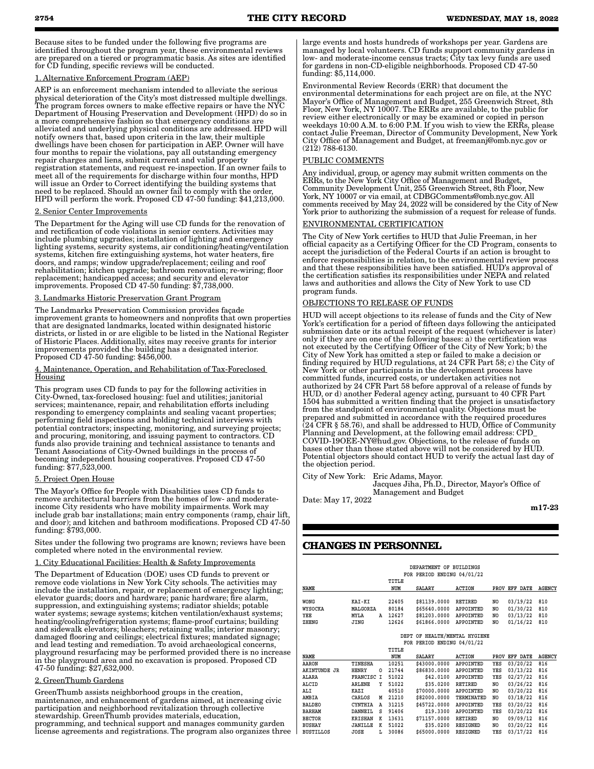Because sites to be funded under the following five programs are identified throughout the program year, these environmental reviews are prepared on a tiered or programmatic basis. As sites are identified for CD funding, specific reviews will be conducted.

#### 1. Alternative Enforcement Program (AEP)

AEP is an enforcement mechanism intended to alleviate the serious physical deterioration of the City's most distressed multiple dwellings. The program forces owners to make effective repairs or have the NYC Department of Housing Preservation and Development (HPD) do so in a more comprehensive fashion so that emergency conditions are alleviated and underlying physical conditions are addressed. HPD will notify owners that, based upon criteria in the law, their multiple dwellings have been chosen for participation in AEP. Owner will have four months to repair the violations, pay all outstanding emergency repair charges and liens, submit current and valid property registration statements, and request re-inspection. If an owner fails to meet all of the requirements for discharge within four months, HPD will issue an Order to Correct identifying the building systems that need to be replaced. Should an owner fail to comply with the order, HPD will perform the work. Proposed CD 47-50 funding: \$41,213,000.

#### 2. Senior Center Improvements

The Department for the Aging will use CD funds for the renovation of and rectification of code violations in senior centers. Activities may include plumbing upgrades; installation of lighting and emergency lighting systems, security systems, air conditioning/heating/ventilation systems, kitchen fire extinguishing systems, hot water heaters, fire doors, and ramps; window upgrade/replacement; ceiling and roof rehabilitation; kitchen upgrade; bathroom renovation; re-wiring; floor replacement; handicapped access; and security and elevator improvements. Proposed CD 47-50 funding: \$7,738,000.

#### 3. Landmarks Historic Preservation Grant Program

The Landmarks Preservation Commission provides façade improvement grants to homeowners and nonprofits that own properties that are designated landmarks, located within designated historic districts, or listed in or are eligible to be listed in the National Register of Historic Places. Additionally, sites may receive grants for interior improvements provided the building has a designated interior. Proposed CD 47-50 funding: \$456,000.

#### Maintenance, Operation, and Rehabilitation of Tax-Foreclosed Housing

This program uses CD funds to pay for the following activities in City-Owned, tax-foreclosed housing: fuel and utilities; janitorial services; maintenance, repair, and rehabilitation efforts including responding to emergency complaints and sealing vacant properties; performing field inspections and holding technical interviews with potential contractors; inspecting, monitoring, and surveying projects; and procuring, monitoring, and issuing payment to contractors. CD funds also provide training and technical assistance to tenants and Tenant Associations of City-Owned buildings in the process of becoming independent housing cooperatives. Proposed CD 47-50 funding: \$77,523,000.

#### 5. Project Open House

The Mayor's Office for People with Disabilities uses CD funds to remove architectural barriers from the homes of low- and moderateincome City residents who have mobility impairments. Work may include grab bar installations; main entry components (ramp, chair lift, and door); and kitchen and bathroom modifications. Proposed CD 47-50 funding: \$793,000.

Sites under the following two programs are known; reviews have been completed where noted in the environmental review.

#### 1. City Educational Facilities: Health & Safety Improvements

The Department of Education (DOE) uses CD funds to prevent or remove code violations in New York City schools. The activities may include the installation, repair, or replacement of emergency lighting; elevator guards; doors and hardware; panic hardware; fire alarm, suppression, and extinguishing systems; radiator shields; potable water systems; sewage systems; kitchen ventilation/exhaust systems; heating/cooling/refrigeration systems; flame-proof curtains; building and sidewalk elevators; bleachers; retaining walls; interior masonry; damaged flooring and ceilings; electrical fixtures; mandated signage; and lead testing and remediation. To avoid archaeological concerns, playground resurfacing may be performed provided there is no increase in the playground area and no excavation is proposed. Proposed CD 47-50 funding: \$27,632,000.

#### 2. GreenThumb Gardens

GreenThumb assists neighborhood groups in the creation, maintenance, and enhancement of gardens aimed, at increasing civic participation and neighborhood revitalization through collective stewardship. GreenThumb provides materials, education, programming, and technical support and manages community garden license agreements and registrations. The program also organizes three large events and hosts hundreds of workshops per year. Gardens are managed by local volunteers. CD funds support community gardens in low- and moderate-income census tracts; City tax levy funds are used for gardens in non-CD-eligible neighborhoods. Proposed CD 47-50 funding: \$5,114,000.

Environmental Review Records (ERR) that document the environmental determinations for each project are on file, at the NYC Mayor's Office of Management and Budget, 255 Greenwich Street, 8th Floor, New York, NY 10007. The ERRs are available, to the public for review either electronically or may be examined or copied in person weekdays 10:00 A.M. to 6:00 P.M. If you wish to view the ERRs, please contact Julie Freeman, Director of Community Development, New York City Office of Management and Budget, at freemanj@omb.nyc.gov or (212) 788-6130.

#### PUBLIC COMMENTS

Any individual, group, or agency may submit written comments on the ERRs, to the New York City Office of Management and Budget, Community Development Unit, 255 Greenwich Street, 8th Floor, New York, NY 10007 or via email, at CDBGComments@omb.nyc.gov. All comments received by May 24, 2022 will be considered by the City of New York prior to authorizing the submission of a request for release of funds.

#### ENVIRONMENTAL CERTIFICATION

The City of New York certifies to HUD that Julie Freeman, in her official capacity as a Certifying Officer for the CD Program, consents to accept the jurisdiction of the Federal Courts if an action is brought to enforce responsibilities in relation, to the environmental review process and that these responsibilities have been satisfied. HUD's approval of the certification satisfies its responsibilities under NEPA and related laws and authorities and allows the City of New York to use CD program funds.

#### OBJECTIONS TO RELEASE OF FUNDS

HUD will accept objections to its release of funds and the City of New York's certification for a period of fifteen days following the anticipated submission date or its actual receipt of the request (whichever is later) only if they are on one of the following bases: a) the certification was not executed by the Certifying Officer of the City of New York; b) the City of New York has omitted a step or failed to make a decision or finding required by HUD regulations, at 24 CFR Part 58; c) the City of New York or other participants in the development process have committed funds, incurred costs, or undertaken activities not authorized by 24 CFR Part 58 before approval of a release of funds by HUD, or d) another Federal agency acting, pursuant to 40 CFR Part 1504 has submitted a written finding that the project is unsatisfactory from the standpoint of environmental quality. Objections must be prepared and submitted in accordance with the required procedures (24 CFR § 58.76), and shall be addressed to HUD, Office of Community Planning and Development, at the following email address: CPD\_ COVID-19OEE-NY@hud.gov. Objections, to the release of funds on bases other than those stated above will not be considered by HUD. Potential objectors should contact HUD to verify the actual last day of the objection period.

City of New York: Eric Adams, Mayor. Jacques Jiha, Ph.D., Director, Mayor's Office of Management and Budget

Date: May 17, 2022

m17-23

### **CHANGES IN PERSONNEL**

|        |          | TITLE<br>NUM | <b>SALARY</b> | ACTION       |                                                                    |                                                                     | AGENCY                                |
|--------|----------|--------------|---------------|--------------|--------------------------------------------------------------------|---------------------------------------------------------------------|---------------------------------------|
| KAI-KI |          | 22405        | \$81139,0000  | RETIRED      | NO                                                                 | 03/19/22                                                            | 810                                   |
| MYLA   | A        | 12627        | \$81203,0000  | APPOINTED    | NO                                                                 | 03/13/22                                                            | 810<br>810<br>810                     |
|        | MALGORZA |              | 80184         | \$65640.0000 | DEPARTMENT OF BUILDINGS<br>FOR PERIOD ENDING 04/01/22<br>APPOINTED | NO.<br>\$61866,0000<br>APPOINTED<br>N <sub>O</sub><br>12626<br>JING | PROV EFF DATE<br>01/30/22<br>01/16/22 |

#### **DEPT OF HEALTH/MENTAL HYGIENE FOR PERIOD ENDING 04/01/22**

|                     |                |   | TITLE |               |                  |      |          |        |
|---------------------|----------------|---|-------|---------------|------------------|------|----------|--------|
| <b>NAME</b>         |                |   | NUM   | <b>SALARY</b> | <b>ACTION</b>    | PROV | EFF DATE | AGENCY |
| AARON               | TINESHA        |   | 10251 | \$43000.0000  | <b>APPOINTED</b> | YES  | 03/20/22 | 816    |
| <b>AKINTUNDE JR</b> | HENRY          | O | 21744 | \$86830.0000  | <b>APPOINTED</b> | YES  | 03/13/22 | 816    |
| ALARA               | FRANCISC I     |   | 51022 | \$42,0100     | APPOINTED        | YES  | 02/27/22 | 816    |
| ALCID               | <b>ARLENE</b>  | Υ | 51022 | \$35,0200     | <b>RETIRED</b>   | NO   | 03/26/22 | 816    |
| ALI                 | KAZI           |   | 40510 | \$70000.0000  | <b>APPOINTED</b> | NO   | 03/20/22 | 816    |
| AMBIA               | CARLOS         | M | 21210 | \$82000.0000  | TERMINATED       | NO.  | 03/18/22 | 816    |
| <b>BALDEO</b>       | <b>CYNTHIA</b> | Α | 31215 | \$45722,0000  | <b>APPOINTED</b> | YES  | 03/20/22 | 816    |
| <b>BARHAM</b>       | DANNEIL        | s | 91406 | \$19,3300     | <b>APPOINTED</b> | YES  | 03/20/22 | 816    |
| <b>BECTOR</b>       | <b>KRISHAN</b> | к | 13631 | \$71157.0000  | <b>RETIRED</b>   | NO   | 09/09/12 | 816    |
| <b>BUSHAY</b>       | JANILLE        | к | 51022 | \$35,0200     | <b>RESIGNED</b>  | NO   | 03/20/22 | 816    |
| <b>BUSTILLOS</b>    | JOSE           | L | 30086 | \$65000.0000  | <b>RESIGNED</b>  | YES  | 03/17/22 | 816    |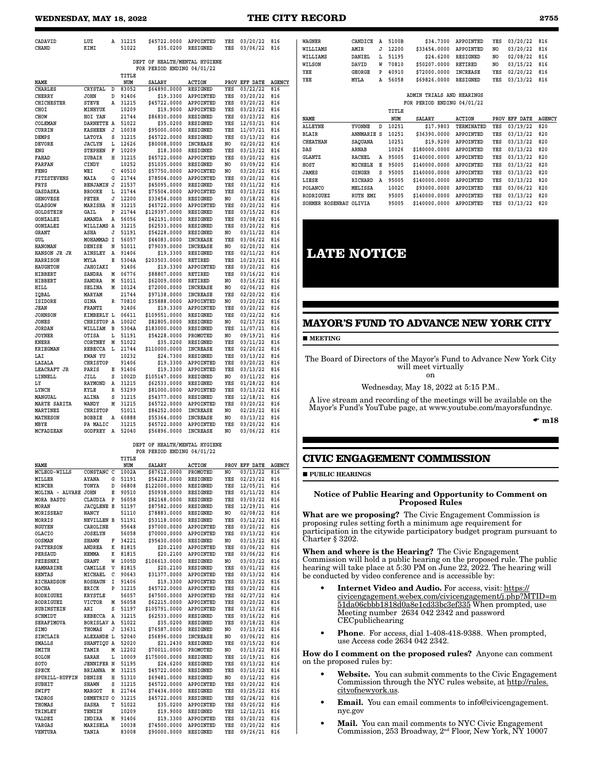| CADAVID                | LUZ               | A | 31215        | \$45722.0000                  | APPOINTED                        | YES            | 03/20/22             | 816                  |
|------------------------|-------------------|---|--------------|-------------------------------|----------------------------------|----------------|----------------------|----------------------|
| CHAND                  | KIMI              |   | 51022        | \$35.0200                     | <b>RESIGNED</b>                  | YES            | 03/06/22             | 816                  |
|                        |                   |   |              |                               |                                  |                |                      |                      |
|                        |                   |   |              | DEPT OF HEALTH/MENTAL HYGIENE |                                  |                |                      |                      |
|                        |                   |   |              | FOR PERIOD ENDING 04/01/22    |                                  |                |                      |                      |
|                        |                   |   | TITLE        |                               |                                  |                |                      |                      |
|                        |                   |   |              |                               |                                  |                |                      |                      |
| NAME<br><b>CHARLES</b> | CRYSTAL           | D | NUM<br>83052 | <b>SALARY</b><br>\$64890.0000 | <b>ACTION</b><br><b>RESIGNED</b> | PROV<br>YES    | EFF DATE<br>03/22/22 | <b>AGENCY</b><br>816 |
|                        |                   |   |              |                               |                                  |                |                      |                      |
| CHERRY                 | <b>JOHN</b>       | D | 91406        | \$19.3300                     | APPOINTED                        | YES            | 03/20/22             | 816                  |
| <b>CHICHESTER</b>      | <b>STEVE</b>      | Α | 31215        | \$45722.0000                  | APPOINTED                        | YES            | 03/20/22             | 816                  |
| CHOI                   | MINHYUK           |   | 10209        | \$19.9000                     | APPOINTED                        | YES            | 03/23/22             | 816                  |
| CHOW                   | HOI YAN           |   | 21744        | \$86830.0000                  | RESIGNED                         | YES            | 03/23/22             | 816                  |
| COLEMAN                | DARNETTE A        |   | 51022        | \$35.0200                     | RESIGNED                         | YES            | 12/03/21             | 816                  |
| <b>CURRIN</b>          | <b>KASHEEN</b>    | J | 10038        | \$95000.0000                  | <b>RESIGNED</b>                  | YES            | 11/07/21             | 816                  |
| DEMPS                  | LATOYA            | S | 31215        | \$45722.0000                  | <b>RESIGNED</b>                  | YES            | 03/13/22             | 816                  |
| <b>DEVORE</b>          | <b>JACLYN</b>     | L | 12626        | \$80008.0000                  | <b>INCREASE</b>                  | N <sub>O</sub> | 02/20/22             | 816                  |
| ENG                    | <b>STEPHEN</b>    | F | 10209        | \$18.3000                     | <b>RESIGNED</b>                  | YES            | 03/13/22             | 816                  |
| FAHAD                  | ZUBAIR            | Η | 31215        | \$45722.0000                  | APPOINTED                        | YES            | 03/20/22             | 816                  |
| <b>FARFAN</b>          | CINDY             |   | 10252        | \$51035.0000                  | <b>RESIGNED</b>                  | N <sub>O</sub> | 03/09/22             | 816                  |
| <b>FENG</b>            | WEI               | C | 40510        | \$57750.0000                  | APPOINTED                        | NO.            | 03/20/22             | 816                  |
| <b>FITZSTEVENS</b>     | MAIA              | G | 21744        | \$78504.0000                  | APPOINTED                        | YES            | 03/20/22             | 816                  |
| FRYS                   | <b>BENJAMIN J</b> |   | 21537        | \$45095.0000                  | <b>RESIGNED</b>                  | YES            | 03/11/22             | 816                  |
|                        | <b>BROOKE</b>     | L | 21744        | \$75504.0000                  |                                  | YES            | 03/13/22             |                      |
| GASDASKA               |                   |   |              |                               | APPOINTED                        |                |                      | 816                  |
| <b>GENOVESE</b>        | PETER             | J | 12200        | \$33454.0000                  | RESIGNED                         | NO             | 03/18/22             | 816                  |
| <b>GLASGOW</b>         | MARISHA           | N | 31215        | \$45722.0000                  | APPOINTED                        | YES            | 03/20/22             | 816                  |
| GOLDSTEIN              | GAIL              | P | 21744        | \$129397.0000                 | RESIGNED                         | YES            | 03/15/22             | 816                  |
| GONZALEZ               | AMANDA            | A | 56056        | \$42191.0000                  | <b>RESIGNED</b>                  | YES            | 03/08/22             | 816                  |
| <b>GONZALEZ</b>        | WILLIAMS          | A | 31215        | \$62533.0000                  | <b>RESIGNED</b>                  | YES            | 03/20/22             | 816                  |
| GRANT                  | ASHA              | J | 51191        | \$54228.0000                  | RESIGNED                         | N <sub>O</sub> | 03/11/22             | 816                  |
| <b>GUL</b>             | MOHAMMAD          | I | 56057        | \$44083.0000                  | <b>INCREASE</b>                  | YES            | 03/06/22             | 816                  |
| <b>HANOMAN</b>         | DENISE            | N | 51011        | \$79039.0000                  | <b>INCREASE</b>                  | N <sub>O</sub> | 02/20/22             | 816                  |
| HANSON JR JR           | AINSLEY           | A | 91406        | \$19.3300                     | <b>RESIGNED</b>                  | YES            | 02/11/22             | 816                  |
| <b>HARRISON</b>        | MYLA              | E | 5304A        | \$203503.0000                 | RETIRED                          | YES            | 10/23/21             | 816                  |
| <b>HAUGHTON</b>        | <b>JAHOIAKI</b>   |   | 91406        | \$19.3300                     | APPOINTED                        | YES            | 03/20/22             | 816                  |
| HIBBERT                | SANDRA            | M | 06776        | \$88807.0000                  | RETIRED                          | YES            | 03/16/22             | 816                  |
| HIBBERT                | SANDRA            | M | 51011        | \$62009.0000                  | RETIRED                          | NO.            | 03/16/22             | 816                  |
| HILL                   | SELINA            | м | 10124        | \$72000.0000                  | <b>INCREASE</b>                  | NO.            | 02/06/22             | 816                  |
| IQBAL                  | MARYAM            |   | 21744        | \$97138.0000                  | <b>INCREASE</b>                  | YES            | 02/20/22             | 816                  |
| <b>ISIDORE</b>         | GINA              | R | 70810        |                               | APPOINTED                        | NO.            |                      | 816                  |
| <b>JEAN</b>            | <b>FRANTZ</b>     |   | 91406        | \$35888.0000                  | APPOINTED                        | YES            | 03/20/22             | 816                  |
|                        |                   |   |              | \$19.3300                     |                                  |                | 03/20/22             |                      |
| <b>JOHNSON</b>         | KIMBERLY L        |   | 06611        | \$109551.0000                 | <b>RESIGNED</b>                  | YES            | 03/22/22             | 816                  |
| <b>JONES</b>           | CHRISTOP A        |   | 1002C        | \$82805.0000                  | <b>RESIGNED</b>                  | NO             | 02/17/22             | 816                  |
| <b>JORDAN</b>          | WILLIAM           | B | 5304A        | \$183000.0000                 | RESIGNED                         | YES            | 11/07/21             | 816                  |
| <b>JOYNER</b>          | OTISA             | L | 51191        | \$54228.0000                  | PROMOTED                         | NO             | 09/19/21             | 816                  |
| KNERR                  | CORTNEY           | M | 51022        | \$35.0200                     | <b>RESIGNED</b>                  | YES            | 03/11/22             | 816                  |
| <b>KRIEGMAN</b>        | <b>REBECCA</b>    | L | 21744        | \$110000.0000                 | <b>INCREASE</b>                  | YES            | 02/20/22             | 816                  |
| LAI                    | KWAN YU           |   | 10232        | \$24.7300                     | <b>RESIGNED</b>                  | YES            | 03/13/22             | 816                  |
| LAZALA                 | <b>CHRISTOP</b>   |   | 91406        | \$19,3300                     | APPOINTED                        | YES            | 03/20/22             | 816                  |
| LEACRAFT JR            | PARIS             | Е | 91406        | \$19.3300                     | APPOINTED                        | YES            | 03/13/22             | 816                  |
| LINNELL                | JILL              | S | 1002D        | \$105147.0000                 | <b>RESIGNED</b>                  | NO             | 03/11/22             | 816                  |
| LY                     | <b>RAYMOND</b>    | A | 31215        | \$62533.0000                  | <b>RESIGNED</b>                  | YES            | 01/28/22             | 816                  |
| LYNCH                  | KYLE              | R | 53299        | \$81000.0000                  | APPOINTED                        | YES            | 03/13/22             | 816                  |
| MANGUAL                | ALINA             | S | 31215        | \$54377.0000                  | <b>RESIGNED</b>                  | YES            | 12/18/21             | 816                  |
| MARTE SARITA           | WANDY             | M | 31215        | \$45722.0000                  | <b>APPOINTED</b>                 | YES            | 03/20/22             | 816                  |
| MARTINEZ               | <b>CHRISTOP</b>   |   | 51011        | \$84252.0000                  | <b>INCREASE</b>                  | NO             | 02/20/22             | 816                  |
| MATHESON               | <b>BOBBIE</b>     | A | 60888        | \$55364.0000                  | INCREASE                         | NO.            | 03/13/22             | 816                  |
|                        |                   |   |              |                               |                                  |                |                      |                      |
| MBYE                   | PA MALIC          |   | 31215        | \$45722.0000                  | APPOINTED                        | YES            | 03/20/22             | 816                  |
| MCFADZEAN              | GODFREY           | A | 52040        | \$56896.0000                  | <b>INCREASE</b>                  | N <sub>O</sub> | 03/06/22             | 816                  |
|                        |                   |   |              |                               |                                  |                |                      |                      |

#### **DEPT OF HEALTH/MENTAL HYGIENE FOR PERIOD ENDING 04/01/22**

|                   |                   |          | TITLE |               |                  |     |               |               |
|-------------------|-------------------|----------|-------|---------------|------------------|-----|---------------|---------------|
| NAME              |                   |          | NUM   | <b>SALARY</b> | <b>ACTION</b>    |     | PROV EFF DATE | <b>AGENCY</b> |
| MCLEOD-WILLS      | CONSTANC C        |          | 1002A | \$87612.0000  | PROMOTED         | NO. | 03/13/22      | 816           |
| MILLER            | AYANA             | G        | 51191 | \$54228.0000  | <b>RESIGNED</b>  | YES | 02/23/22      | 816           |
| MINCER            | TONYA             | D        | 06808 | \$122000.0000 | <b>RESIGNED</b>  | YES | 12/05/21      | 816           |
| MOLINA - ALVARE   | <b>JOHN</b>       | E        | 90510 | \$50938.0000  | RESIGNED         | YES | 01/11/22      | 816           |
| <b>MORA BASTO</b> | CLAUDIA           | P        | 56058 | \$82148.0000  | <b>RESIGNED</b>  | YES | 03/03/22      | 816           |
| <b>MORAN</b>      | <b>JACQLENE E</b> |          | 51197 | \$87582.0000  | <b>RESIGNED</b>  | YES | 12/29/21      | 816           |
| MORISSEAU         | NANCY             |          | 51110 | \$78883.0000  | <b>RESIGNED</b>  | NO. | 02/08/22      | 816           |
| <b>MORRIS</b>     | <b>NEVILLEN B</b> |          | 51191 | \$53118.0000  | <b>RESIGNED</b>  | YES | 03/12/22      | 816           |
| NGUYEN            | CAROLINE          |          | 95648 | \$97000.0000  | APPOINTED        | YES | 03/20/22      | 816           |
| <b>OLACIO</b>     | <b>JOSELYN</b>    |          | 56058 | \$70000.0000  | APPOINTED        | YES | 03/13/22      | 816           |
| <b>OOSMAN</b>     | <b>SHAWN</b>      | F        | 34221 | \$95430.0000  | RESIGNED         | NO. | 03/13/22      | 816           |
| <b>PATTERSON</b>  | <b>ANDREA</b>     | к        | 81815 | \$20.2100     | APPOINTED        | YES | 03/06/22      | 816           |
| PERSAUD           | <b>HEMMA</b>      | ĸ        | 81815 | \$20.2100     | APPOINTED        | YES | 03/06/22      | 816           |
| PEZESHKI          | <b>GRANT</b>      | W        | 1005D | \$106613.0000 | <b>RESIGNED</b>  | NO. | 03/03/22      | 816           |
| <b>RAMNARINE</b>  | CAMILLE           | v        | 81815 | \$20.2100     | <b>RESIGNED</b>  | YES | 03/01/22      | 816           |
| <b>RENTAS</b>     | MICHAEL           | C        | 90643 | \$31377.0000  | APPOINTED        | YES | 03/13/22      | 816           |
| <b>RICHARDSON</b> | <b>ROSHAUN</b>    | I        | 91406 | \$19.3300     | <b>APPOINTED</b> | YES | 03/13/22      | 816           |
| <b>ROCHA</b>      | ERICK             | Þ        | 31215 | \$45722.0000  | APPOINTED        | YES | 03/20/22      | 816           |
| <b>RODRIGUEZ</b>  | <b>KRYSTLE</b>    |          | 56057 | \$47500.0000  | APPOINTED        | YES | 02/27/22      | 816           |
| RODRIGUEZ         | <b>VICTOR</b>     | М        | 56058 | \$62215.0000  | APPOINTED        | YES | 03/20/22      | 816           |
| RUBINSTEIN        | ARI               | S        | 51197 | \$105791.0000 | APPOINTED        | YES | 03/13/22      | 816           |
| SCHMIDT           | <b>REBECCA</b>    | Α        | 31215 | \$62533.0000  | RESIGNED         | YES | 03/16/22      | 816           |
| <b>SERAFIMOVA</b> | <b>BORISLAV A</b> |          | 51022 | \$35.0200     | <b>RESIGNED</b>  | YES | 03/18/22      | 816           |
| SIMO              | <b>THOMAS</b>     | J        | 13631 | \$76587.0000  | <b>RESIGNED</b>  | NO. | 03/13/22      | 816           |
| <b>SINCLAIR</b>   | ALEXANDE L        |          | 52040 | \$56896.0000  | <b>INCREASE</b>  | NO  | 03/06/22      | 816           |
| <b>SMALLS</b>     | SHANTIQU A        |          | 52020 | \$21.2430     | <b>RESIGNED</b>  | YES | 03/15/22      | 816           |
| SMITH             | TAMIR             | M        | 12202 | \$70011.0000  | PROMOTED         | NO. | 03/13/22      | 816           |
| SOLON             | SARAH             | L        | 10009 | \$175000.0000 | RESIGNED         | YES | 10/19/21      | 816           |
| SOTO              | <b>JENNIFER N</b> |          | 51195 | \$24.6200     | <b>RESIGNED</b>  | YES | 03/13/22      | 816           |
| <b>SPECK</b>      | <b>BRIANNA</b>    | M        | 31215 | \$45722.0000  | <b>RESIGNED</b>  | YES | 03/10/22      | 816           |
| SPURILL-RUFFIN    | DENISE            | н        | 51310 | \$69481.0000  | <b>RESIGNED</b>  | NO  | 03/12/22      | 816           |
| <b>SUBHIT</b>     | <b>SHAWN</b>      | S        | 31215 | \$45722.0000  | APPOINTED        | YES | 03/20/22      | 816           |
| SWIFT             | MARGOT            | R        | 21744 | \$74434.0000  | <b>RESIGNED</b>  | YES | 03/25/22      | 816           |
| <b>TADROS</b>     | DEMETRIU          | $\Omega$ | 31215 | \$45722.0000  | <b>RESIGNED</b>  | YES | 02/24/22      | 816           |
| THOMAS            | <b>SASHA</b>      | т        | 51022 | \$35.0200     | APPOINTED        | YES | 03/20/22      | 816           |
| TRINLEY           | TENZIN            |          | 10209 | \$19,9000     | <b>RESIGNED</b>  | YES | 12/12/21      | 816           |
| <b>VALDEZ</b>     | INDIRA            | M        | 91406 | \$19.3300     | APPOINTED        | YES | 03/20/22      | 816           |
| <b>VARGAS</b>     | MARISELA          |          | 10038 | \$74500.0000  | APPOINTED        | YES | 03/20/22      | 816           |
| <b>VENTURA</b>    | TANIA             |          | 83008 | \$90000.0000  | <b>RESIGNED</b>  | YES | 09/26/21      | 816           |

| WAGNER                    | CANDICE           | A | 5100B | \$34.7300                  | APPOINTED        | YES  | 03/20/22 | 816           |  |  |
|---------------------------|-------------------|---|-------|----------------------------|------------------|------|----------|---------------|--|--|
| WILLIAMS                  | AMIR              | J | 12200 | \$33454.0000               | APPOINTED        | NO.  | 03/20/22 | 816           |  |  |
| WILLIAMS                  | DANIEL            | L | 51195 | \$24,6200                  | <b>RESIGNED</b>  | NO   | 02/08/22 | 816           |  |  |
| WILSON                    | DAVID             | W | 70810 | \$50207.0000               | <b>RETIRED</b>   | NO   | 03/15/22 | 816           |  |  |
| YEE                       | <b>GEORGE</b>     | P | 40910 | \$72000.0000               | <b>INCREASE</b>  | YES  | 02/20/22 | 816           |  |  |
| YEE                       | MYLA              | Α | 56058 | \$69826.0000               | <b>RESIGNED</b>  | YES  | 03/13/22 | 816           |  |  |
|                           |                   |   |       |                            |                  |      |          |               |  |  |
| ADMIN TRIALS AND HEARINGS |                   |   |       |                            |                  |      |          |               |  |  |
|                           |                   |   |       | FOR PERIOD ENDING 04/01/22 |                  |      |          |               |  |  |
|                           |                   |   | TITLE |                            |                  |      |          |               |  |  |
| NAME                      |                   |   | NUM   | <b>SALARY</b>              | <b>ACTION</b>    | PROV | EFF DATE | <b>AGENCY</b> |  |  |
| <b>ALLEYNE</b>            | YVONNE            | D | 10251 | \$17.9803                  | TERMINATED       | YES  | 03/19/22 | 820           |  |  |
| <b>BLAIR</b>              | <b>ANNMARIE S</b> |   | 10251 | \$36390.0000               | <b>APPOINTED</b> | YES  | 03/13/22 | 820           |  |  |
| <b>CHEATHAN</b>           | SAQUANA           |   | 10251 | \$19,9200                  | APPOINTED        | YES  | 03/13/22 | 820           |  |  |
| DAS                       | ARNAB             |   | 10026 | \$180000.0000              | APPOINTED        | YES  | 03/13/22 | 820           |  |  |
| <b>GLANTZ</b>             | <b>RACHEL</b>     | A | 95005 | \$140000.0000              | <b>APPOINTED</b> | YES  | 03/13/22 | 820           |  |  |
| HOST                      | MICHELE           | E | 95005 | \$140000.0000              | APPOINTED        | YES  | 03/13/22 | 820           |  |  |
| JAMES                     | <b>GINGER</b>     | s | 95005 | \$140000.0000              | APPOINTED        | YES  | 03/13/22 | 820           |  |  |
| LIESE                     | <b>RICHARD</b>    | Α | 95005 | \$140000.0000              | <b>APPOINTED</b> | YES  | 03/13/22 | 820           |  |  |
| POLANCO                   | MELISSA           |   | 1002C | \$93000.0000               | <b>APPOINTED</b> | YES  | 03/06/22 | 820           |  |  |
| <b>RODRIGUEZ</b>          | <b>RUTH EMI</b>   |   | 95005 | \$140000.0000              | APPOINTED        | YES  | 03/13/22 | 820           |  |  |
| SOHMER ROSENBAU           | OLIVIA            |   | 95005 | \$140000.0000              | APPOINTED        | YES  | 03/13/22 | 820           |  |  |
|                           |                   |   |       |                            |                  |      |          |               |  |  |

### **LATE NOTICE**

### **MAYOR'S FUND TO ADVANCE NEW YORK CITY**

**MEETING** 

The Board of Directors of the Mayor's Fund to Advance New York City will meet virtually

on

Wednesday, May 18, 2022 at 5:15 P.M..

A live stream and recording of the meetings will be available on the Mayor's Fund's YouTube page, at www.youtube.com/mayorsfundnyc.

 $\mathbf{r}$  m18

#### **CIVIC ENGAGEMENT COMMISSION**

**PUBLIC HEARINGS** 

#### Notice of Public Hearing and Opportunity to Comment on Proposed Rules

What are we proposing? The Civic Engagement Commission is proposing rules setting forth a minimum age requirement for participation in the citywide participatory budget program pursuant to Charter § 3202.

When and where is the Hearing? The Civic Engagement Commission will hold a public hearing on the proposed rule. The public hearing will take place at 5:30 PM on June 22, 2022. The hearing will be conducted by video conference and is accessible by:

- **Internet Video and Audio.** For access, visit: https:// civicengagement.webex.com/civicengagement/j.php?MTID=m 51da06cbbb1818d0a8e1cd33bc3ef335 When prompted, use Meeting number 2634 042 2342 and password CECpublichearing
- Phone. For access, dial 1-408-418-9388. When prompted, use Access code 2634 042 2342.

How do I comment on the proposed rules? Anyone can comment on the proposed rules by:

- Website. You can submit comments to the Civic Engagement Commission through the NYC rules website, at http://rules. cityofnewyork.us.
- Email. You can email comments to info@civicengagement. nyc.gov
- Mail. You can mail comments to NYC Civic Engagement Commission, 253 Broadway, 2nd Floor, New York, NY 10007